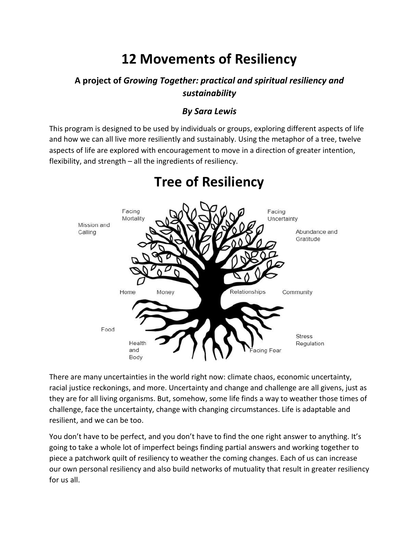# **12 Movements of Resiliency**

## **A project of** *Growing Together: practical and spiritual resiliency and sustainability*

## *By Sara Lewis*

This program is designed to be used by individuals or groups, exploring different aspects of life and how we can all live more resiliently and sustainably. Using the metaphor of a tree, twelve aspects of life are explored with encouragement to move in a direction of greater intention, flexibility, and strength – all the ingredients of resiliency.



# **Tree of Resiliency**

There are many uncertainties in the world right now: climate chaos, economic uncertainty, racial justice reckonings, and more. Uncertainty and change and challenge are all givens, just as they are for all living organisms. But, somehow, some life finds a way to weather those times of challenge, face the uncertainty, change with changing circumstances. Life is adaptable and resilient, and we can be too.

You don't have to be perfect, and you don't have to find the one right answer to anything. It's going to take a whole lot of imperfect beings finding partial answers and working together to piece a patchwork quilt of resiliency to weather the coming changes. Each of us can increase our own personal resiliency and also build networks of mutuality that result in greater resiliency for us all.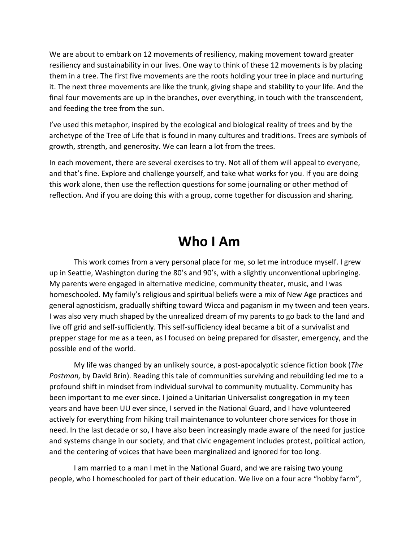We are about to embark on 12 movements of resiliency, making movement toward greater resiliency and sustainability in our lives. One way to think of these 12 movements is by placing them in a tree. The first five movements are the roots holding your tree in place and nurturing it. The next three movements are like the trunk, giving shape and stability to your life. And the final four movements are up in the branches, over everything, in touch with the transcendent, and feeding the tree from the sun.

I've used this metaphor, inspired by the ecological and biological reality of trees and by the archetype of the Tree of Life that is found in many cultures and traditions. Trees are symbols of growth, strength, and generosity. We can learn a lot from the trees.

In each movement, there are several exercises to try. Not all of them will appeal to everyone, and that's fine. Explore and challenge yourself, and take what works for you. If you are doing this work alone, then use the reflection questions for some journaling or other method of reflection. And if you are doing this with a group, come together for discussion and sharing.

# **Who I Am**

This work comes from a very personal place for me, so let me introduce myself. I grew up in Seattle, Washington during the 80's and 90's, with a slightly unconventional upbringing. My parents were engaged in alternative medicine, community theater, music, and I was homeschooled. My family's religious and spiritual beliefs were a mix of New Age practices and general agnosticism, gradually shifting toward Wicca and paganism in my tween and teen years. I was also very much shaped by the unrealized dream of my parents to go back to the land and live off grid and self-sufficiently. This self-sufficiency ideal became a bit of a survivalist and prepper stage for me as a teen, as I focused on being prepared for disaster, emergency, and the possible end of the world.

My life was changed by an unlikely source, a post-apocalyptic science fiction book (*The Postman,* by David Brin). Reading this tale of communities surviving and rebuilding led me to a profound shift in mindset from individual survival to community mutuality. Community has been important to me ever since. I joined a Unitarian Universalist congregation in my teen years and have been UU ever since, I served in the National Guard, and I have volunteered actively for everything from hiking trail maintenance to volunteer chore services for those in need. In the last decade or so, I have also been increasingly made aware of the need for justice and systems change in our society, and that civic engagement includes protest, political action, and the centering of voices that have been marginalized and ignored for too long.

I am married to a man I met in the National Guard, and we are raising two young people, who I homeschooled for part of their education. We live on a four acre "hobby farm",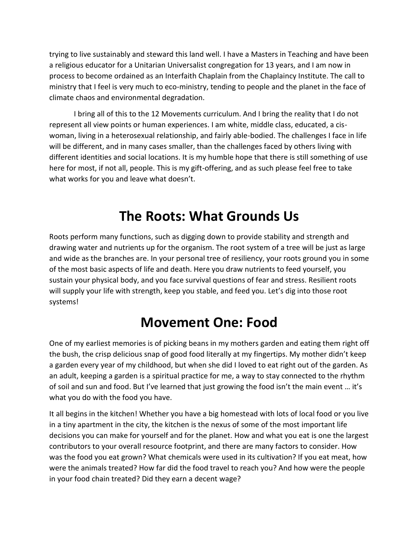trying to live sustainably and steward this land well. I have a Masters in Teaching and have been a religious educator for a Unitarian Universalist congregation for 13 years, and I am now in process to become ordained as an Interfaith Chaplain from the Chaplaincy Institute. The call to ministry that I feel is very much to eco-ministry, tending to people and the planet in the face of climate chaos and environmental degradation.

I bring all of this to the 12 Movements curriculum. And I bring the reality that I do not represent all view points or human experiences. I am white, middle class, educated, a ciswoman, living in a heterosexual relationship, and fairly able-bodied. The challenges I face in life will be different, and in many cases smaller, than the challenges faced by others living with different identities and social locations. It is my humble hope that there is still something of use here for most, if not all, people. This is my gift-offering, and as such please feel free to take what works for you and leave what doesn't.

# **The Roots: What Grounds Us**

Roots perform many functions, such as digging down to provide stability and strength and drawing water and nutrients up for the organism. The root system of a tree will be just as large and wide as the branches are. In your personal tree of resiliency, your roots ground you in some of the most basic aspects of life and death. Here you draw nutrients to feed yourself, you sustain your physical body, and you face survival questions of fear and stress. Resilient roots will supply your life with strength, keep you stable, and feed you. Let's dig into those root systems!

# **Movement One: Food**

One of my earliest memories is of picking beans in my mothers garden and eating them right off the bush, the crisp delicious snap of good food literally at my fingertips. My mother didn't keep a garden every year of my childhood, but when she did I loved to eat right out of the garden. As an adult, keeping a garden is a spiritual practice for me, a way to stay connected to the rhythm of soil and sun and food. But I've learned that just growing the food isn't the main event … it's what you do with the food you have.

It all begins in the kitchen! Whether you have a big homestead with lots of local food or you live in a tiny apartment in the city, the kitchen is the nexus of some of the most important life decisions you can make for yourself and for the planet. How and what you eat is one the largest contributors to your overall resource footprint, and there are many factors to consider. How was the food you eat grown? What chemicals were used in its cultivation? If you eat meat, how were the animals treated? How far did the food travel to reach you? And how were the people in your food chain treated? Did they earn a decent wage?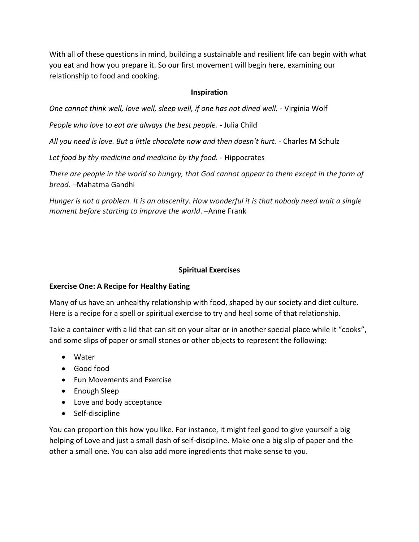With all of these questions in mind, building a sustainable and resilient life can begin with what you eat and how you prepare it. So our first movement will begin here, examining our relationship to food and cooking.

## **Inspiration**

*One cannot think well, love well, sleep well, if one has not dined well. -* Virginia Wolf

*People who love to eat are always the best people. -* Julia Child

All you need is love. But a little chocolate now and then doesn't hurt. *-* Charles M Schulz

*Let food by thy medicine and medicine by thy food. -* Hippocrates

*There are people in the world so hungry, that God cannot appear to them except in the form of bread*. –[Mahatma](https://www.brainyquote.com/quotes/mahatma_gandhi_103624) Gandhi

*Hunger is not a problem. It is an obscenity. How wonderful it is that nobody need wait a single moment before starting to improve the world*. –Anne [Frank](https://www.brainyquote.com/authors/anne_frank)

### **Spiritual Exercises**

## **Exercise One: A Recipe for Healthy Eating**

Many of us have an unhealthy relationship with food, shaped by our society and diet culture. Here is a recipe for a spell or spiritual exercise to try and heal some of that relationship.

Take a container with a lid that can sit on your altar or in another special place while it "cooks", and some slips of paper or small stones or other objects to represent the following:

- Water
- Good food
- Fun Movements and Exercise
- Enough Sleep
- Love and body acceptance
- Self-discipline

You can proportion this how you like. For instance, it might feel good to give yourself a big helping of Love and just a small dash of self-discipline. Make one a big slip of paper and the other a small one. You can also add more ingredients that make sense to you.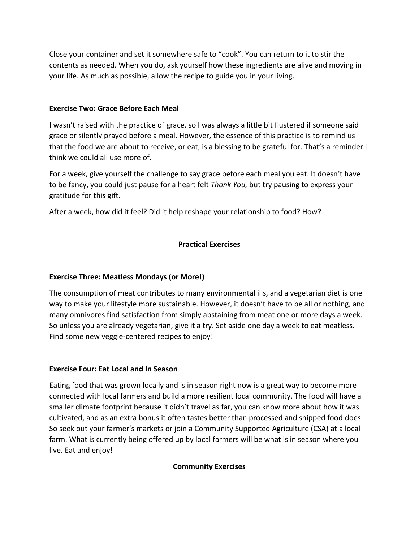Close your container and set it somewhere safe to "cook". You can return to it to stir the contents as needed. When you do, ask yourself how these ingredients are alive and moving in your life. As much as possible, allow the recipe to guide you in your living.

### **Exercise Two: Grace Before Each Meal**

I wasn't raised with the practice of grace, so I was always a little bit flustered if someone said grace or silently prayed before a meal. However, the essence of this practice is to remind us that the food we are about to receive, or eat, is a blessing to be grateful for. That's a reminder I think we could all use more of.

For a week, give yourself the challenge to say grace before each meal you eat. It doesn't have to be fancy, you could just pause for a heart felt *Thank You,* but try pausing to express your gratitude for this gift.

After a week, how did it feel? Did it help reshape your relationship to food? How?

## **Practical Exercises**

## **Exercise Three: Meatless Mondays (or More!)**

The consumption of meat contributes to many environmental ills, and a vegetarian diet is one way to make your lifestyle more sustainable. However, it doesn't have to be all or nothing, and many omnivores find satisfaction from simply abstaining from meat one or more days a week. So unless you are already vegetarian, give it a try. Set aside one day a week to eat meatless. Find some new veggie-centered recipes to enjoy!

## **Exercise Four: Eat Local and In Season**

Eating food that was grown locally and is in season right now is a great way to become more connected with local farmers and build a more resilient local community. The food will have a smaller climate footprint because it didn't travel as far, you can know more about how it was cultivated, and as an extra bonus it often tastes better than processed and shipped food does. So seek out your farmer's markets or join a Community Supported Agriculture (CSA) at a local farm. What is currently being offered up by local farmers will be what is in season where you live. Eat and enjoy!

## **Community Exercises**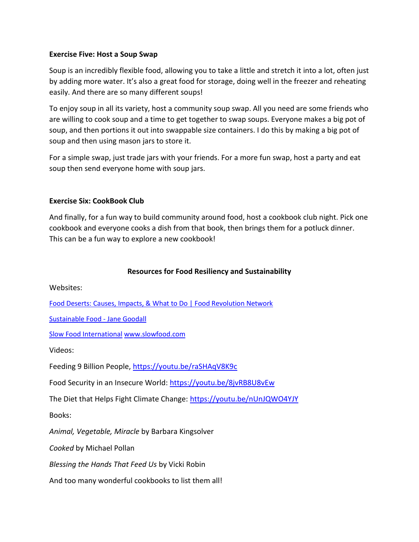#### **Exercise Five: Host a Soup Swap**

Soup is an incredibly flexible food, allowing you to take a little and stretch it into a lot, often just by adding more water. It's also a great food for storage, doing well in the freezer and reheating easily. And there are so many different soups!

To enjoy soup in all its variety, host a community soup swap. All you need are some friends who are willing to cook soup and a time to get together to swap soups. Everyone makes a big pot of soup, and then portions it out into swappable size containers. I do this by making a big pot of soup and then using mason jars to store it.

For a simple swap, just trade jars with your friends. For a more fun swap, host a party and eat soup then send everyone home with soup jars.

#### **Exercise Six: CookBook Club**

And finally, for a fun way to build community around food, host a cookbook club night. Pick one cookbook and everyone cooks a dish from that book, then brings them for a potluck dinner. This can be a fun way to explore a new cookbook!

### **Resources for Food Resiliency and Sustainability**

Websites:

[Food Deserts: Causes, Impacts, & What to Do | Food Revolution Network](https://foodrevolution.org/blog/food-deserts-food-oasis-healthy-food-access/)

[Sustainable Food -](https://janegoodall.ca/our-work/roots-and-shoots/sustainable-food/) Jane Goodall

Slow Food International [www.slowfood.com](http://www.slowfood.com/)

Videos:

Feeding 9 Billion People,<https://youtu.be/raSHAqV8K9c>

Food Security in an Insecure World:<https://youtu.be/8jvRB8U8vEw>

The Diet that Helps Fight Climate Change:<https://youtu.be/nUnJQWO4YJY>

Books:

*Animal, Vegetable, Miracle* by Barbara Kingsolver

*Cooked* by Michael Pollan

*Blessing the Hands That Feed Us* by Vicki Robin

And too many wonderful cookbooks to list them all!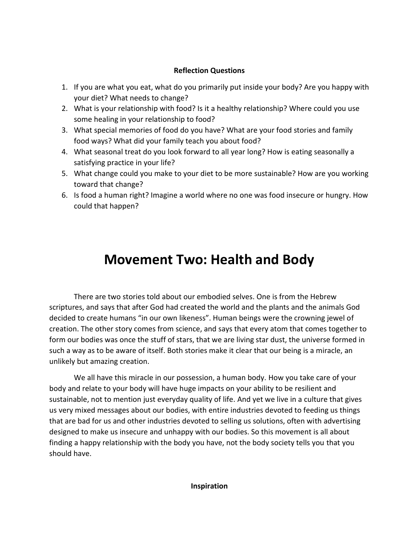### **Reflection Questions**

- 1. If you are what you eat, what do you primarily put inside your body? Are you happy with your diet? What needs to change?
- 2. What is your relationship with food? Is it a healthy relationship? Where could you use some healing in your relationship to food?
- 3. What special memories of food do you have? What are your food stories and family food ways? What did your family teach you about food?
- 4. What seasonal treat do you look forward to all year long? How is eating seasonally a satisfying practice in your life?
- 5. What change could you make to your diet to be more sustainable? How are you working toward that change?
- 6. Is food a human right? Imagine a world where no one was food insecure or hungry. How could that happen?

# **Movement Two: Health and Body**

There are two stories told about our embodied selves. One is from the Hebrew scriptures, and says that after God had created the world and the plants and the animals God decided to create humans "in our own likeness". Human beings were the crowning jewel of creation. The other story comes from science, and says that every atom that comes together to form our bodies was once the stuff of stars, that we are living star dust, the universe formed in such a way as to be aware of itself. Both stories make it clear that our being is a miracle, an unlikely but amazing creation.

We all have this miracle in our possession, a human body. How you take care of your body and relate to your body will have huge impacts on your ability to be resilient and sustainable, not to mention just everyday quality of life. And yet we live in a culture that gives us very mixed messages about our bodies, with entire industries devoted to feeding us things that are bad for us and other industries devoted to selling us solutions, often with advertising designed to make us insecure and unhappy with our bodies. So this movement is all about finding a happy relationship with the body you have, not the body society tells you that you should have.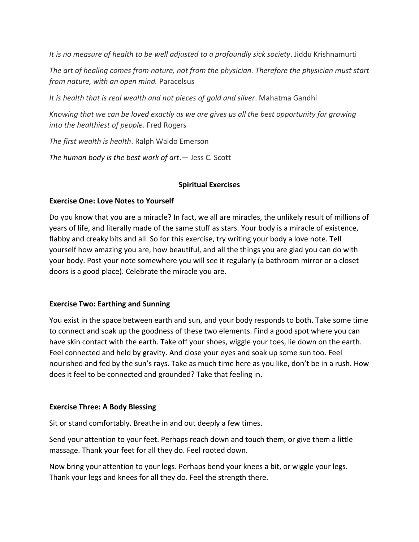*It is no measure of health to be well adjusted to a profoundly sick society*. Jiddu Krishnamurti

*The art of healing comes from nature, not from the physician. Therefore the physician must start from nature, with an open mind.* Paracelsus

*It is health that is real wealth and not pieces of gold and silver*. Mahatma Gandhi

*Knowing that we can be loved exactly as we are gives us all the best opportunity for growing into the healthiest of people*. Fred Rogers

*The first wealth is health*. Ralph Waldo Emerson

*The human body is the best work of art*.― Jess C. Scott

### **Spiritual Exercises**

### **Exercise One: Love Notes to Yourself**

Do you know that you are a miracle? In fact, we all are miracles, the unlikely result of millions of years of life, and literally made of the same stuff as stars. Your body is a miracle of existence, flabby and creaky bits and all. So for this exercise, try writing your body a love note. Tell yourself how amazing you are, how beautiful, and all the things you are glad you can do with your body. Post your note somewhere you will see it regularly (a bathroom mirror or a closet doors is a good place). Celebrate the miracle you are.

#### **Exercise Two: Earthing and Sunning**

You exist in the space between earth and sun, and your body responds to both. Take some time to connect and soak up the goodness of these two elements. Find a good spot where you can have skin contact with the earth. Take off your shoes, wiggle your toes, lie down on the earth. Feel connected and held by gravity. And close your eyes and soak up some sun too. Feel nourished and fed by the sun's rays. Take as much time here as you like, don't be in a rush. How does it feel to be connected and grounded? Take that feeling in.

#### **Exercise Three: A Body Blessing**

Sit or stand comfortably. Breathe in and out deeply a few times.

Send your attention to your feet. Perhaps reach down and touch them, or give them a little massage. Thank your feet for all they do. Feel rooted down.

Now bring your attention to your legs. Perhaps bend your knees a bit, or wiggle your legs. Thank your legs and knees for all they do. Feel the strength there.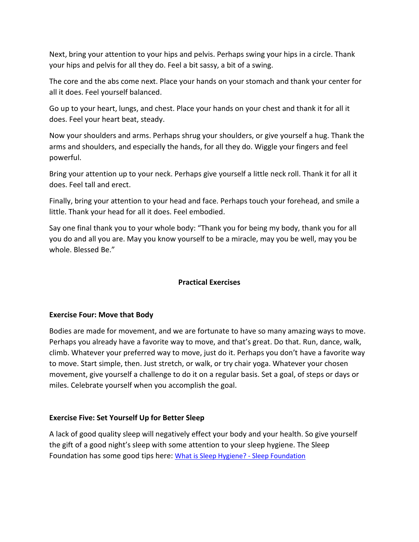Next, bring your attention to your hips and pelvis. Perhaps swing your hips in a circle. Thank your hips and pelvis for all they do. Feel a bit sassy, a bit of a swing.

The core and the abs come next. Place your hands on your stomach and thank your center for all it does. Feel yourself balanced.

Go up to your heart, lungs, and chest. Place your hands on your chest and thank it for all it does. Feel your heart beat, steady.

Now your shoulders and arms. Perhaps shrug your shoulders, or give yourself a hug. Thank the arms and shoulders, and especially the hands, for all they do. Wiggle your fingers and feel powerful.

Bring your attention up to your neck. Perhaps give yourself a little neck roll. Thank it for all it does. Feel tall and erect.

Finally, bring your attention to your head and face. Perhaps touch your forehead, and smile a little. Thank your head for all it does. Feel embodied.

Say one final thank you to your whole body: "Thank you for being my body, thank you for all you do and all you are. May you know yourself to be a miracle, may you be well, may you be whole. Blessed Be."

## **Practical Exercises**

## **Exercise Four: Move that Body**

Bodies are made for movement, and we are fortunate to have so many amazing ways to move. Perhaps you already have a favorite way to move, and that's great. Do that. Run, dance, walk, climb. Whatever your preferred way to move, just do it. Perhaps you don't have a favorite way to move. Start simple, then. Just stretch, or walk, or try chair yoga. Whatever your chosen movement, give yourself a challenge to do it on a regular basis. Set a goal, of steps or days or miles. Celebrate yourself when you accomplish the goal.

## **Exercise Five: Set Yourself Up for Better Sleep**

A lack of good quality sleep will negatively effect your body and your health. So give yourself the gift of a good night's sleep with some attention to your sleep hygiene. The Sleep Foundation has some good tips here: [What is Sleep Hygiene? -](https://www.sleepfoundation.org/sleep-hygiene) Sleep Foundation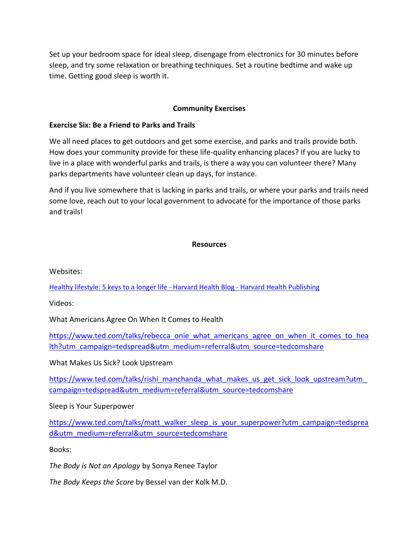Set up your bedroom space for ideal sleep, disengage from electronics for 30 minutes before sleep, and try some relaxation or breathing techniques. Set a routine bedtime and wake up time. Getting good sleep is worth it.

### **Community Exercises**

### **Exercise Six: Be a Friend to Parks and Trails**

We all need places to get outdoors and get some exercise, and parks and trails provide both. How does your community provide for these life-quality enhancing places? If you are lucky to live in a place with wonderful parks and trails, is there a way you can volunteer there? Many parks departments have volunteer clean up days, for instance.

And if you live somewhere that is lacking in parks and trails, or where your parks and trails need some love, reach out to your local government to advocate for the importance of those parks and trails!

#### **Resources**

Websites:

[Healthy lifestyle: 5 keys to a longer life -](https://www.health.harvard.edu/blog/healthy-lifestyle-5-keys-to-a-longer-life-2018070514186) Harvard Health Blog - Harvard Health Publishing

Videos:

What Americans Agree On When It Comes to Health

[https://www.ted.com/talks/rebecca\\_onie\\_what\\_americans\\_agree\\_on\\_when\\_it\\_comes\\_to\\_hea](https://www.ted.com/talks/rebecca_onie_what_americans_agree_on_when_it_comes_to_health?utm_campaign=tedspread&utm_medium=referral&utm_source=tedcomshare) [lth?utm\\_campaign=tedspread&utm\\_medium=referral&utm\\_source=tedcomshare](https://www.ted.com/talks/rebecca_onie_what_americans_agree_on_when_it_comes_to_health?utm_campaign=tedspread&utm_medium=referral&utm_source=tedcomshare)

What Makes Us Sick? Look Upstream

https://www.ted.com/talks/rishi\_manchanda\_what\_makes\_us\_get\_sick\_look\_upstream?utm [campaign=tedspread&utm\\_medium=referral&utm\\_source=tedcomshare](https://www.ted.com/talks/rishi_manchanda_what_makes_us_get_sick_look_upstream?utm_campaign=tedspread&utm_medium=referral&utm_source=tedcomshare)

Sleep is Your Superpower

[https://www.ted.com/talks/matt\\_walker\\_sleep\\_is\\_your\\_superpower?utm\\_campaign=tedsprea](https://www.ted.com/talks/matt_walker_sleep_is_your_superpower?utm_campaign=tedspread&utm_medium=referral&utm_source=tedcomshare) [d&utm\\_medium=referral&utm\\_source=tedcomshare](https://www.ted.com/talks/matt_walker_sleep_is_your_superpower?utm_campaign=tedspread&utm_medium=referral&utm_source=tedcomshare)

Books:

*The Body is Not an Apology* by Sonya Renee Taylor

*The Body Keeps the Score* by Bessel van der Kolk M.D.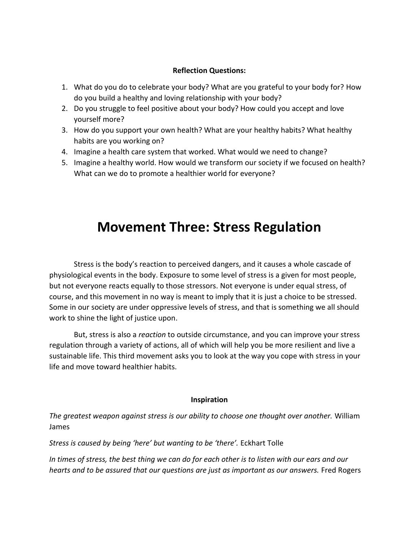#### **Reflection Questions:**

- 1. What do you do to celebrate your body? What are you grateful to your body for? How do you build a healthy and loving relationship with your body?
- 2. Do you struggle to feel positive about your body? How could you accept and love yourself more?
- 3. How do you support your own health? What are your healthy habits? What healthy habits are you working on?
- 4. Imagine a health care system that worked. What would we need to change?
- 5. Imagine a healthy world. How would we transform our society if we focused on health? What can we do to promote a healthier world for everyone?

# **Movement Three: Stress Regulation**

Stress is the body's reaction to perceived dangers, and it causes a whole cascade of physiological events in the body. Exposure to some level of stress is a given for most people, but not everyone reacts equally to those stressors. Not everyone is under equal stress, of course, and this movement in no way is meant to imply that it is just a choice to be stressed. Some in our society are under oppressive levels of stress, and that is something we all should work to shine the light of justice upon.

But, stress is also a *reaction* to outside circumstance, and you can improve your stress regulation through a variety of actions, all of which will help you be more resilient and live a sustainable life. This third movement asks you to look at the way you cope with stress in your life and move toward healthier habits.

#### **Inspiration**

*The greatest weapon against stress is our ability to choose one thought over another.* William James

*Stress is caused by being 'here' but wanting to be 'there'.* Eckhart Tolle

*In times of stress, the best thing we can do for each other is to listen with our ears and our hearts and to be assured that our questions are just as important as our answers.* Fred Rogers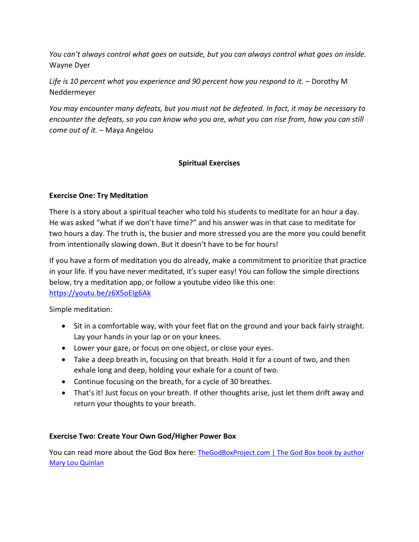*You can't always control what goes on outside, but you can always control what goes on inside.*  Wayne Dyer

Life is 10 percent what you experience and 90 percent how you respond to it. – Dorothy M Neddermeyer

*You may encounter many defeats, but you must not be defeated. In fact, it may be necessary to encounter the defeats, so you can know who you are, what you can [rise](https://www.ellevatenetwork.com/articles/7593-4-ways-to-embrace-your-strengths-and-claim-your-power) from, how you can still come out of it.* – Maya Angelou

## **Spiritual Exercises**

## **Exercise One: Try Meditation**

There is a story about a spiritual teacher who told his students to meditate for an hour a day. He was asked "what if we don't have time?" and his answer was in that case to meditate for two hours a day. The truth is, the busier and more stressed you are the more you could benefit from intentionally slowing down. But it doesn't have to be for hours!

If you have a form of meditation you do already, make a commitment to prioritize that practice in your life. If you have never meditated, it's super easy! You can follow the simple directions below, try a meditation app, or follow a youtube video like this one: <https://youtu.be/z6X5oEIg6Ak>

Simple meditation:

- Sit in a comfortable way, with your feet flat on the ground and your back fairly straight. Lay your hands in your lap or on your knees.
- Lower your gaze, or focus on one object, or close your eyes.
- Take a deep breath in, focusing on that breath. Hold it for a count of two, and then exhale long and deep, holding your exhale for a count of two.
- Continue focusing on the breath, for a cycle of 30 breathes.
- That's it! Just focus on your breath. If other thoughts arise, just let them drift away and return your thoughts to your breath.

## **Exercise Two: Create Your Own God/Higher Power Box**

You can read more about the God Box here: [TheGodBoxProject.com | The God Box book by author](http://www.thegodboxproject.com/book/)  [Mary Lou Quinlan](http://www.thegodboxproject.com/book/)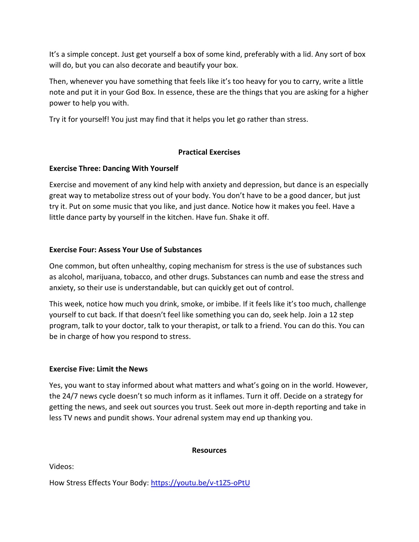It's a simple concept. Just get yourself a box of some kind, preferably with a lid. Any sort of box will do, but you can also decorate and beautify your box.

Then, whenever you have something that feels like it's too heavy for you to carry, write a little note and put it in your God Box. In essence, these are the things that you are asking for a higher power to help you with.

Try it for yourself! You just may find that it helps you let go rather than stress.

## **Practical Exercises**

## **Exercise Three: Dancing With Yourself**

Exercise and movement of any kind help with anxiety and depression, but dance is an especially great way to metabolize stress out of your body. You don't have to be a good dancer, but just try it. Put on some music that you like, and just dance. Notice how it makes you feel. Have a little dance party by yourself in the kitchen. Have fun. Shake it off.

## **Exercise Four: Assess Your Use of Substances**

One common, but often unhealthy, coping mechanism for stress is the use of substances such as alcohol, marijuana, tobacco, and other drugs. Substances can numb and ease the stress and anxiety, so their use is understandable, but can quickly get out of control.

This week, notice how much you drink, smoke, or imbibe. If it feels like it's too much, challenge yourself to cut back. If that doesn't feel like something you can do, seek help. Join a 12 step program, talk to your doctor, talk to your therapist, or talk to a friend. You can do this. You can be in charge of how you respond to stress.

## **Exercise Five: Limit the News**

Yes, you want to stay informed about what matters and what's going on in the world. However, the 24/7 news cycle doesn't so much inform as it inflames. Turn it off. Decide on a strategy for getting the news, and seek out sources you trust. Seek out more in-depth reporting and take in less TV news and pundit shows. Your adrenal system may end up thanking you.

#### **Resources**

Videos:

How Stress Effects Your Body:<https://youtu.be/v-t1Z5-oPtU>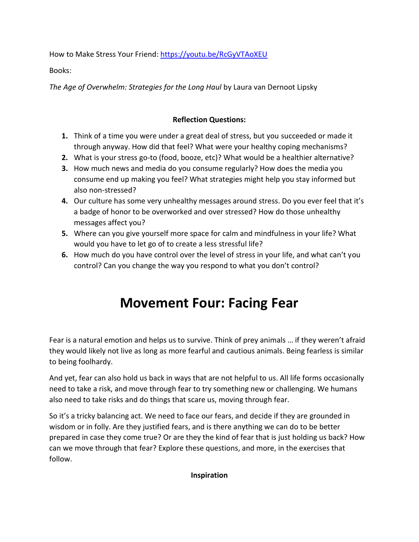How to Make Stress Your Friend:<https://youtu.be/RcGyVTAoXEU>

Books:

*The Age of Overwhelm: Strategies for the Long Haul* by Laura van Dernoot Lipsky

## **Reflection Questions:**

- **1.** Think of a time you were under a great deal of stress, but you succeeded or made it through anyway. How did that feel? What were your healthy coping mechanisms?
- **2.** What is your stress go-to (food, booze, etc)? What would be a healthier alternative?
- **3.** How much news and media do you consume regularly? How does the media you consume end up making you feel? What strategies might help you stay informed but also non-stressed?
- **4.** Our culture has some very unhealthy messages around stress. Do you ever feel that it's a badge of honor to be overworked and over stressed? How do those unhealthy messages affect you?
- **5.** Where can you give yourself more space for calm and mindfulness in your life? What would you have to let go of to create a less stressful life?
- **6.** How much do you have control over the level of stress in your life, and what can't you control? Can you change the way you respond to what you don't control?

# **Movement Four: Facing Fear**

Fear is a natural emotion and helps us to survive. Think of prey animals … if they weren't afraid they would likely not live as long as more fearful and cautious animals. Being fearless is similar to being foolhardy.

And yet, fear can also hold us back in ways that are not helpful to us. All life forms occasionally need to take a risk, and move through fear to try something new or challenging. We humans also need to take risks and do things that scare us, moving through fear.

So it's a tricky balancing act. We need to face our fears, and decide if they are grounded in wisdom or in folly. Are they justified fears, and is there anything we can do to be better prepared in case they come true? Or are they the kind of fear that is just holding us back? How can we move through that fear? Explore these questions, and more, in the exercises that follow.

**Inspiration**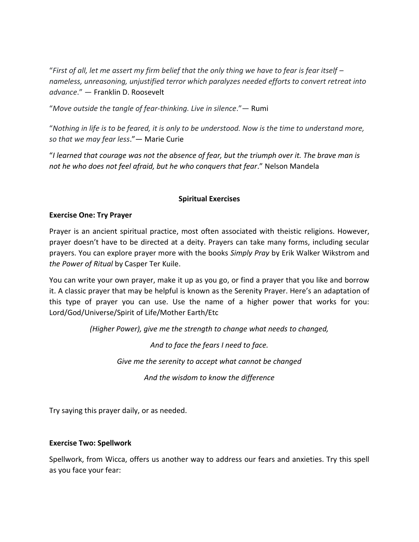"*First of all, let me assert my firm belief that the only thing we have to fear is fear itself – nameless, unreasoning, unjustified terror which paralyzes needed efforts to convert retreat into advance*." ― [Franklin D. Roosevelt](https://www.goodreads.com/author/show/219075.Franklin_D_Roosevelt)

"*Move outside the tangle of fear-thinking. Live in silence*."― [Rumi](https://www.goodreads.com/author/show/875661.Rumi)

"*Nothing in life is to be feared, it is only to be understood. Now is the time to understand more, so that we may fear less*."― [Marie Curie](https://www.goodreads.com/author/show/126903.Marie_Curie)

"*I learned that courage was not the absence of fear, but the triumph over it. The brave man is not he who does not feel afraid, but he who conquers that fear*." Nelson Mandela

### **Spiritual Exercises**

#### **Exercise One: Try Prayer**

Prayer is an ancient spiritual practice, most often associated with theistic religions. However, prayer doesn't have to be directed at a deity. Prayers can take many forms, including secular prayers. You can explore prayer more with the books *Simply Pray* by Erik Walker Wikstrom and *the Power of Ritual* by Casper Ter Kuile.

You can write your own prayer, make it up as you go, or find a prayer that you like and borrow it. A classic prayer that may be helpful is known as the Serenity Prayer. Here's an adaptation of this type of prayer you can use. Use the name of a higher power that works for you: Lord/God/Universe/Spirit of Life/Mother Earth/Etc

*(Higher Power), give me the strength to change what needs to changed,*

*And to face the fears I need to face.*

*Give me the serenity to accept what cannot be changed*

*And the wisdom to know the difference*

Try saying this prayer daily, or as needed.

#### **Exercise Two: Spellwork**

Spellwork, from Wicca, offers us another way to address our fears and anxieties. Try this spell as you face your fear: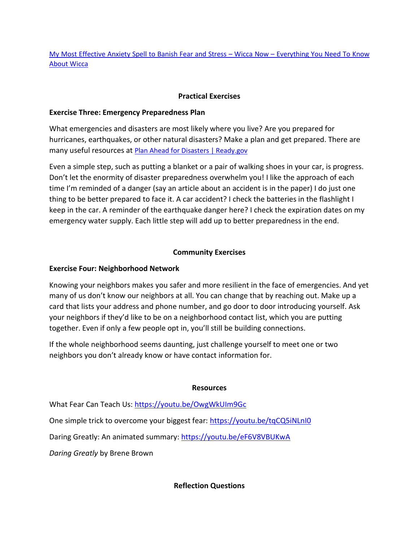[My Most Effective Anxiety Spell to Banish Fear and Stress](https://wiccanow.com/our-anxiety-spell-to-banish-fear-and-stress/) – Wicca Now – Everything You Need To Know [About Wicca](https://wiccanow.com/our-anxiety-spell-to-banish-fear-and-stress/)

## **Practical Exercises**

### **Exercise Three: Emergency Preparedness Plan**

What emergencies and disasters are most likely where you live? Are you prepared for hurricanes, earthquakes, or other natural disasters? Make a plan and get prepared. There are many useful resources at [Plan Ahead for Disasters | Ready.gov](https://www.ready.gov/)

Even a simple step, such as putting a blanket or a pair of walking shoes in your car, is progress. Don't let the enormity of disaster preparedness overwhelm you! I like the approach of each time I'm reminded of a danger (say an article about an accident is in the paper) I do just one thing to be better prepared to face it. A car accident? I check the batteries in the flashlight I keep in the car. A reminder of the earthquake danger here? I check the expiration dates on my emergency water supply. Each little step will add up to better preparedness in the end.

## **Community Exercises**

### **Exercise Four: Neighborhood Network**

Knowing your neighbors makes you safer and more resilient in the face of emergencies. And yet many of us don't know our neighbors at all. You can change that by reaching out. Make up a card that lists your address and phone number, and go door to door introducing yourself. Ask your neighbors if they'd like to be on a neighborhood contact list, which you are putting together. Even if only a few people opt in, you'll still be building connections.

If the whole neighborhood seems daunting, just challenge yourself to meet one or two neighbors you don't already know or have contact information for.

#### **Resources**

What Fear Can Teach Us[: https://youtu.be/OwgWkUIm9Gc](https://youtu.be/OwgWkUIm9Gc)

One simple trick to overcome your biggest fear:<https://youtu.be/tqCQ5iNLnI0>

Daring Greatly: An animated summary:<https://youtu.be/eF6V8VBUKwA>

*Daring Greatly* by Brene Brown

**Reflection Questions**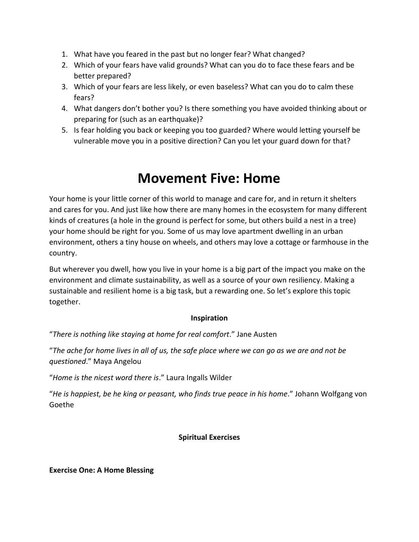- 1. What have you feared in the past but no longer fear? What changed?
- 2. Which of your fears have valid grounds? What can you do to face these fears and be better prepared?
- 3. Which of your fears are less likely, or even baseless? What can you do to calm these fears?
- 4. What dangers don't bother you? Is there something you have avoided thinking about or preparing for (such as an earthquake)?
- 5. Is fear holding you back or keeping you too guarded? Where would letting yourself be vulnerable move you in a positive direction? Can you let your guard down for that?

# **Movement Five: Home**

Your home is your little corner of this world to manage and care for, and in return it shelters and cares for you. And just like how there are many homes in the ecosystem for many different kinds of creatures (a hole in the ground is perfect for some, but others build a nest in a tree) your home should be right for you. Some of us may love apartment dwelling in an urban environment, others a tiny house on wheels, and others may love a cottage or farmhouse in the country.

But wherever you dwell, how you live in your home is a big part of the impact you make on the environment and climate sustainability, as well as a source of your own resiliency. Making a sustainable and resilient home is a big task, but a rewarding one. So let's explore this topic together.

## **Inspiration**

"*There is nothing like staying at home for real comfort*." Jane Austen

"*The ache for home lives in all of us, the safe place where we can go as we are and not be questioned*." Maya Angelou

"*Home is the nicest word there is*." Laura Ingalls Wilder

"*He is happiest, be he king or peasant, who finds true peace in his home*." Johann Wolfgang von Goethe

## **Spiritual Exercises**

**Exercise One: A Home Blessing**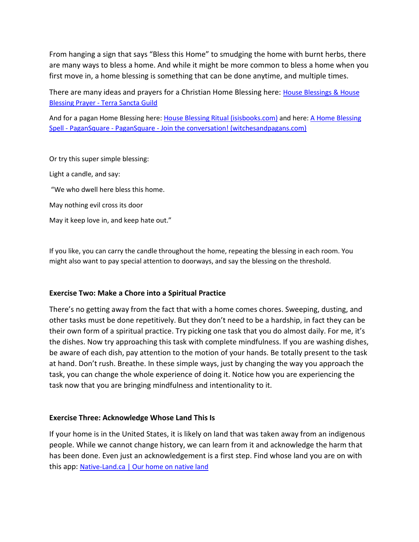From hanging a sign that says "Bless this Home" to smudging the home with burnt herbs, there are many ways to bless a home. And while it might be more common to bless a home when you first move in, a home blessing is something that can be done anytime, and multiple times.

There are many ideas and prayers for a Christian Home Blessing here: House Blessings & House Blessing Prayer - [Terra Sancta Guild](https://www.terrasanctaguild.com/blog/house-blessings/)

And for a pagan Home Blessing here: [House Blessing Ritual \(isisbooks.com\)](http://www.isisbooks.com/House-Blessing-Ritual-s/463.htm) and here: A Home Blessing Spell - PaganSquare - PaganSquare - [Join the conversation! \(witchesandpagans.com\)](https://witchesandpagans.com/pagan-paths-blogs/hedge-witch/a-home-blessing-spell.html)

Or try this super simple blessing: Light a candle, and say: "We who dwell here bless this home. May nothing evil cross its door May it keep love in, and keep hate out."

If you like, you can carry the candle throughout the home, repeating the blessing in each room. You might also want to pay special attention to doorways, and say the blessing on the threshold.

#### **Exercise Two: Make a Chore into a Spiritual Practice**

There's no getting away from the fact that with a home comes chores. Sweeping, dusting, and other tasks must be done repetitively. But they don't need to be a hardship, in fact they can be their own form of a spiritual practice. Try picking one task that you do almost daily. For me, it's the dishes. Now try approaching this task with complete mindfulness. If you are washing dishes, be aware of each dish, pay attention to the motion of your hands. Be totally present to the task at hand. Don't rush. Breathe. In these simple ways, just by changing the way you approach the task, you can change the whole experience of doing it. Notice how you are experiencing the task now that you are bringing mindfulness and intentionality to it.

#### **Exercise Three: Acknowledge Whose Land This Is**

If your home is in the United States, it is likely on land that was taken away from an indigenous people. While we cannot change history, we can learn from it and acknowledge the harm that has been done. Even just an acknowledgement is a first step. Find whose land you are on with this app: [Native-Land.ca | Our home on native land](https://native-land.ca/)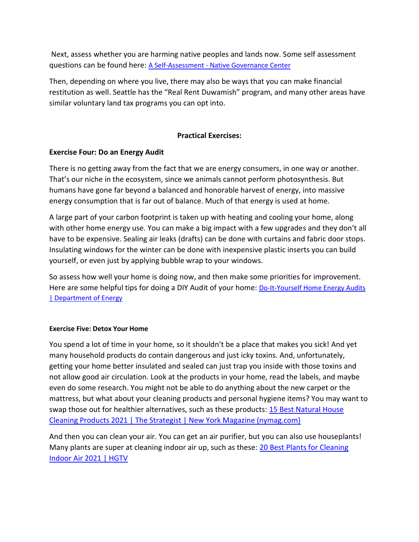Next, assess whether you are harming native peoples and lands now. Some self assessment questions can be found here: A Self-Assessment - [Native Governance Center](https://nativegov.org/a-self-assessment/)

Then, depending on where you live, there may also be ways that you can make financial restitution as well. Seattle has the "Real Rent Duwamish" program, and many other areas have similar voluntary land tax programs you can opt into.

## **Practical Exercises:**

## **Exercise Four: Do an Energy Audit**

There is no getting away from the fact that we are energy consumers, in one way or another. That's our niche in the ecosystem, since we animals cannot perform photosynthesis. But humans have gone far beyond a balanced and honorable harvest of energy, into massive energy consumption that is far out of balance. Much of that energy is used at home.

A large part of your carbon footprint is taken up with heating and cooling your home, along with other home energy use. You can make a big impact with a few upgrades and they don't all have to be expensive. Sealing air leaks (drafts) can be done with curtains and fabric door stops. Insulating windows for the winter can be done with inexpensive plastic inserts you can build yourself, or even just by applying bubble wrap to your windows.

So assess how well your home is doing now, and then make some priorities for improvement. Here are some helpful tips for doing a DIY Audit of your home: [Do-It-Yourself Home Energy Audits](https://www.energy.gov/energysaver/home-energy-audits/do-it-yourself-home-energy-audits)  [| Department of Energy](https://www.energy.gov/energysaver/home-energy-audits/do-it-yourself-home-energy-audits)

#### **Exercise Five: Detox Your Home**

You spend a lot of time in your home, so it shouldn't be a place that makes you sick! And yet many household products do contain dangerous and just icky toxins. And, unfortunately, getting your home better insulated and sealed can just trap you inside with those toxins and not allow good air circulation. Look at the products in your home, read the labels, and maybe even do some research. You might not be able to do anything about the new carpet or the mattress, but what about your cleaning products and personal hygiene items? You may want to swap those out for healthier alternatives, such as these products: 15 Best Natural House [Cleaning Products 2021 | The Strategist | New York Magazine \(nymag.com\)](https://nymag.com/strategist/article/best-natural-organic-cleaning-products.html)

And then you can clean your air. You can get an air purifier, but you can also use houseplants! Many plants are super at cleaning indoor air up, such as these: 20 Best Plants for Cleaning [Indoor Air 2021 | HGTV](https://www.hgtv.com/design/remodel/interior-remodel/10-best-plants-for-cleaning-indoor-air-pictures)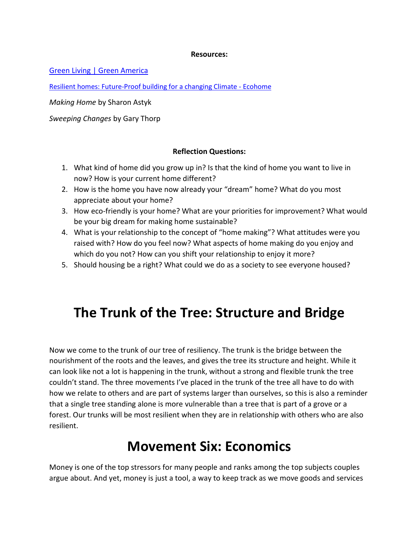#### **Resources:**

[Green Living | Green America](https://greenamerica.org/green-living?utm_source=google&utm_medium=cpc&gclid=Cj0KCQjw--GFBhDeARIsACH_kdZV7pPB5KLO8mSAWnInj5N28DjbYQ_s1PDGWmsWOPiAChrM7SEE2M0aArLbEALw_wcB)

[Resilient homes: Future-Proof building for a changing Climate -](https://www.ecohome.net/guides/1083/future-proofing-homes-building-for-a-changing-climate/) Ecohome

*Making Home* by Sharon Astyk

*Sweeping Changes* by Gary Thorp

#### **Reflection Questions:**

- 1. What kind of home did you grow up in? Is that the kind of home you want to live in now? How is your current home different?
- 2. How is the home you have now already your "dream" home? What do you most appreciate about your home?
- 3. How eco-friendly is your home? What are your priorities for improvement? What would be your big dream for making home sustainable?
- 4. What is your relationship to the concept of "home making"? What attitudes were you raised with? How do you feel now? What aspects of home making do you enjoy and which do you not? How can you shift your relationship to enjoy it more?
- 5. Should housing be a right? What could we do as a society to see everyone housed?

# **The Trunk of the Tree: Structure and Bridge**

Now we come to the trunk of our tree of resiliency. The trunk is the bridge between the nourishment of the roots and the leaves, and gives the tree its structure and height. While it can look like not a lot is happening in the trunk, without a strong and flexible trunk the tree couldn't stand. The three movements I've placed in the trunk of the tree all have to do with how we relate to others and are part of systems larger than ourselves, so this is also a reminder that a single tree standing alone is more vulnerable than a tree that is part of a grove or a forest. Our trunks will be most resilient when they are in relationship with others who are also resilient.

# **Movement Six: Economics**

Money is one of the top stressors for many people and ranks among the top subjects couples argue about. And yet, money is just a tool, a way to keep track as we move goods and services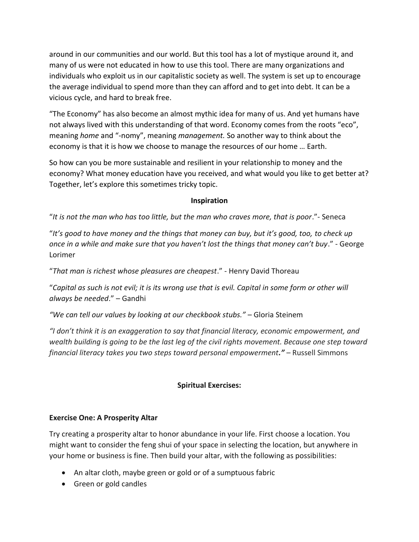around in our communities and our world. But this tool has a lot of mystique around it, and many of us were not educated in how to use this tool. There are many organizations and individuals who exploit us in our capitalistic society as well. The system is set up to encourage the average individual to spend more than they can afford and to get into debt. It can be a vicious cycle, and hard to break free.

"The Economy" has also become an almost mythic idea for many of us. And yet humans have not always lived with this understanding of that word. Economy comes from the roots "eco", meaning *home* and "-nomy", meaning *management.* So another way to think about the economy is that it is how we choose to manage the resources of our home … Earth.

So how can you be more sustainable and resilient in your relationship to money and the economy? What money education have you received, and what would you like to get better at? Together, let's explore this sometimes tricky topic.

### **Inspiration**

"*It is not the man who has too little, but the man who craves more, that is poor*."- Seneca

"*It's good to have money and the things that money can buy, but it's good, too, to check up once in a while and make sure that you haven't lost the things that money can't buy*." - George Lorimer

"*That man is richest whose pleasures are cheapest*." - Henry David Thoreau

"*Capital as such is not evil; it is its wrong use that is evil. Capital in some form or other will always be needed*." – Gandhi

"We can tell our values by looking at our checkbook stubs." - Gloria Steinem

*"I don't think it is an exaggeration to say that financial literacy, economic empowerment, and wealth building is going to be the last leg of the civil rights movement. Because one step toward financial literacy takes you two steps toward personal empowerment."* – Russell Simmons

## **Spiritual Exercises:**

## **Exercise One: A Prosperity Altar**

Try creating a prosperity altar to honor abundance in your life. First choose a location. You might want to consider the feng shui of your space in selecting the location, but anywhere in your home or business is fine. Then build your altar, with the following as possibilities:

- An altar cloth, maybe green or gold or of a sumptuous fabric
- Green or gold candles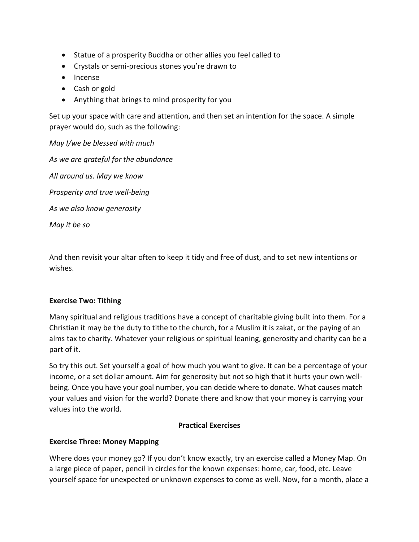- Statue of a prosperity Buddha or other allies you feel called to
- Crystals or semi-precious stones you're drawn to
- Incense
- Cash or gold
- Anything that brings to mind prosperity for you

Set up your space with care and attention, and then set an intention for the space. A simple prayer would do, such as the following:

*May I/we be blessed with much*

*As we are grateful for the abundance All around us. May we know Prosperity and true well-being As we also know generosity May it be so*

And then revisit your altar often to keep it tidy and free of dust, and to set new intentions or wishes.

## **Exercise Two: Tithing**

Many spiritual and religious traditions have a concept of charitable giving built into them. For a Christian it may be the duty to tithe to the church, for a Muslim it is zakat, or the paying of an alms tax to charity. Whatever your religious or spiritual leaning, generosity and charity can be a part of it.

So try this out. Set yourself a goal of how much you want to give. It can be a percentage of your income, or a set dollar amount. Aim for generosity but not so high that it hurts your own wellbeing. Once you have your goal number, you can decide where to donate. What causes match your values and vision for the world? Donate there and know that your money is carrying your values into the world.

## **Practical Exercises**

## **Exercise Three: Money Mapping**

Where does your money go? If you don't know exactly, try an exercise called a Money Map. On a large piece of paper, pencil in circles for the known expenses: home, car, food, etc. Leave yourself space for unexpected or unknown expenses to come as well. Now, for a month, place a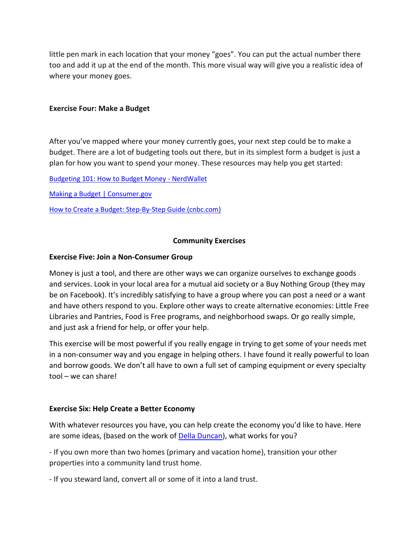little pen mark in each location that your money "goes". You can put the actual number there too and add it up at the end of the month. This more visual way will give you a realistic idea of where your money goes.

#### **Exercise Four: Make a Budget**

After you've mapped where your money currently goes, your next step could be to make a budget. There are a lot of budgeting tools out there, but in its simplest form a budget is just a plan for how you want to spend your money. These resources may help you get started:

[Budgeting 101: How to Budget Money -](https://www.nerdwallet.com/article/finance/how-to-budget) NerdWallet

[Making a Budget | Consumer.gov](https://www.consumer.gov/articles/1002-making-budget)

[How to Create a Budget: Step-By-Step Guide \(cnbc.com\)](https://www.cnbc.com/select/how-to-create-a-budget-guide/)

#### **Community Exercises**

#### **Exercise Five: Join a Non-Consumer Group**

Money is just a tool, and there are other ways we can organize ourselves to exchange goods and services. Look in your local area for a mutual aid society or a Buy Nothing Group (they may be on Facebook). It's incredibly satisfying to have a group where you can post a need or a want and have others respond to you. Explore other ways to create alternative economies: Little Free Libraries and Pantries, Food is Free programs, and neighborhood swaps. Or go really simple, and just ask a friend for help, or offer your help.

This exercise will be most powerful if you really engage in trying to get some of your needs met in a non-consumer way and you engage in helping others. I have found it really powerful to loan and borrow goods. We don't all have to own a full set of camping equipment or every specialty tool – we can share!

#### **Exercise Six: Help Create a Better Economy**

With whatever resources you have, you can help create the economy you'd like to have. Here are some ideas, (based on the work of **Della Duncan**), what works for you?

- If you own more than two homes (primary and vacation home), transition your other properties into a community land trust home.

- If you steward land, convert all or some of it into a land trust.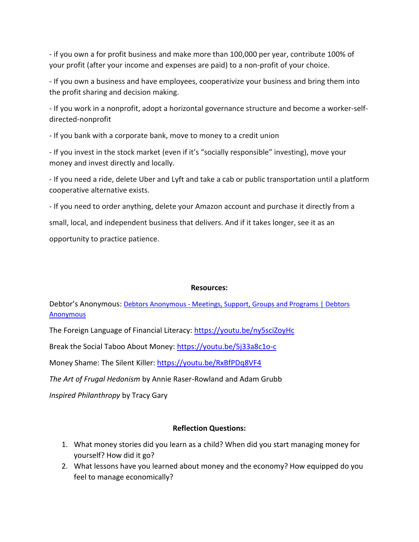- if you own a for profit business and make more than 100,000 per year, contribute 100% of your profit (after your income and expenses are paid) to a non-profit of your choice.

- If you own a business and have employees, cooperativize your business and bring them into the profit sharing and decision making.

- If you work in a nonprofit, adopt a horizontal governance structure and become a worker-selfdirected-nonprofit

- If you bank with a corporate bank, move to money to a credit union

- If you invest in the stock market (even if it's "socially responsible" investing), move your money and invest directly and locally.

- If you need a ride, delete Uber and Lyft and take a cab or public transportation until a platform cooperative alternative exists.

- If you need to order anything, delete your Amazon account and purchase it directly from a

small, local, and independent business that delivers. And if it takes longer, see it as an

opportunity to practice patience.

## **Resources:**

Debtor's Anonymous: Debtors Anonymous - Meetings, Support, Groups and Programs | Debtors **[Anonymous](https://debtorsanonymous.org/)** 

The Foreign Language of Financial Literacy:<https://youtu.be/ny5sciZoyHc>

Break the Social Taboo About Money:<https://youtu.be/5j33a8c1o-c>

Money Shame: The Silent Killer:<https://youtu.be/RxBfPDq8VF4>

*The Art of Frugal Hedonism* by Annie Raser-Rowland and Adam Grubb

*Inspired Philanthropy* by Tracy Gary

## **Reflection Questions:**

- 1. What money stories did you learn as a child? When did you start managing money for yourself? How did it go?
- 2. What lessons have you learned about money and the economy? How equipped do you feel to manage economically?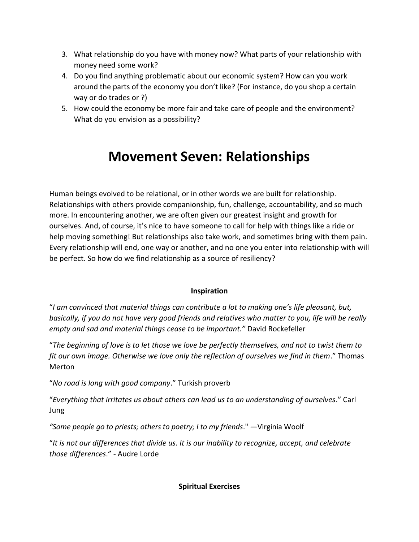- 3. What relationship do you have with money now? What parts of your relationship with money need some work?
- 4. Do you find anything problematic about our economic system? How can you work around the parts of the economy you don't like? (For instance, do you shop a certain way or do trades or ?)
- 5. How could the economy be more fair and take care of people and the environment? What do you envision as a possibility?

# **Movement Seven: Relationships**

Human beings evolved to be relational, or in other words we are built for relationship. Relationships with others provide companionship, fun, challenge, accountability, and so much more. In encountering another, we are often given our greatest insight and growth for ourselves. And, of course, it's nice to have someone to call for help with things like a ride or help moving something! But relationships also take work, and sometimes bring with them pain. Every relationship will end, one way or another, and no one you enter into relationship with will be perfect. So how do we find relationship as a source of resiliency?

## **Inspiration**

"*I am convinced that material things can contribute a lot to making one's life pleasant, but, basically, if you do not have very good friends and relatives who matter to you, life will be really empty and sad and material things cease to be important."* David Rockefeller

"*The beginning of love is to let those we love be perfectly themselves, and not to twist them to fit our own image. Otherwise we love only the reflection of ourselves we find in them*." Thomas Merton

"*No road is long with good company*." Turkish proverb

"*Everything that irritates us about others can lead us to an understanding of ourselves*." Carl Jung

*"Some people go to priests; others to poetry; I to my friends*." —Virginia Woolf

"*It is not our differences that divide us. It is our inability to recognize, accept, and celebrate those differences*." - Audre Lorde

**Spiritual Exercises**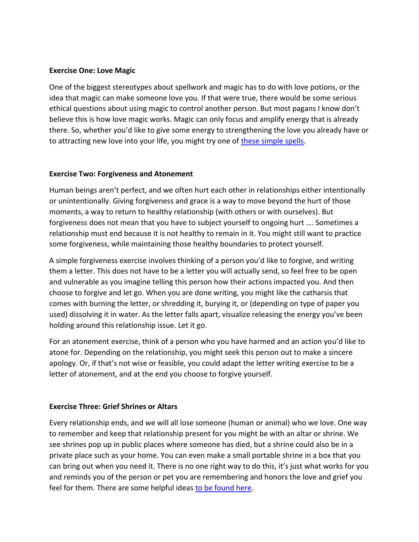#### **Exercise One: Love Magic**

One of the biggest stereotypes about spellwork and magic has to do with love potions, or the idea that magic can make someone love you. If that were true, there would be some serious ethical questions about using magic to control another person. But most pagans I know don't believe this is how love magic works. Magic can only focus and amplify energy that is already there. So, whether you'd like to give some energy to strengthening the love you already have or to attracting new love into your life, you might try one of [these simple spells.](https://www.teenvogue.com/story/love-spells-and-the-basics-of-love-magic)

#### **Exercise Two: Forgiveness and Atonement**

Human beings aren't perfect, and we often hurt each other in relationships either intentionally or unintentionally. Giving forgiveness and grace is a way to move beyond the hurt of those moments, a way to return to healthy relationship (with others or with ourselves). But forgiveness does not mean that you have to subject yourself to ongoing hurt …. Sometimes a relationship must end because it is not healthy to remain in it. You might still want to practice some forgiveness, while maintaining those healthy boundaries to protect yourself.

A simple forgiveness exercise involves thinking of a person you'd like to forgive, and writing them a letter. This does not have to be a letter you will actually send, so feel free to be open and vulnerable as you imagine telling this person how their actions impacted you. And then choose to forgive and let go. When you are done writing, you might like the catharsis that comes with burning the letter, or shredding it, burying it, or (depending on type of paper you used) dissolving it in water. As the letter falls apart, visualize releasing the energy you've been holding around this relationship issue. Let it go.

For an atonement exercise, think of a person who you have harmed and an action you'd like to atone for. Depending on the relationship, you might seek this person out to make a sincere apology. Or, if that's not wise or feasible, you could adapt the letter writing exercise to be a letter of atonement, and at the end you choose to forgive yourself.

#### **Exercise Three: Grief Shrines or Altars**

Every relationship ends, and we will all lose someone (human or animal) who we love. One way to remember and keep that relationship present for you might be with an altar or shrine. We see shrines pop up in public places where someone has died, but a shrine could also be in a private place such as your home. You can even make a small portable shrine in a box that you can bring out when you need it. There is no one right way to do this, it's just what works for you and reminds you of the person or pet you are remembering and honors the love and grief you feel for them. There are some helpful ideas [to be found here.](https://www.goodtherapy.org/blog/shrine-altar-grief-healing/)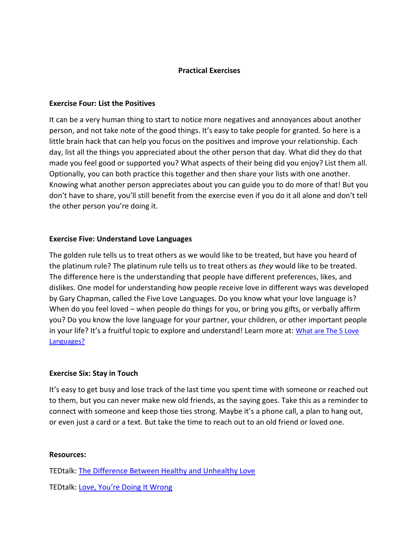#### **Practical Exercises**

#### **Exercise Four: List the Positives**

It can be a very human thing to start to notice more negatives and annoyances about another person, and not take note of the good things. It's easy to take people for granted. So here is a little brain hack that can help you focus on the positives and improve your relationship. Each day, list all the things you appreciated about the other person that day. What did they do that made you feel good or supported you? What aspects of their being did you enjoy? List them all. Optionally, you can both practice this together and then share your lists with one another. Knowing what another person appreciates about you can guide you to do more of that! But you don't have to share, you'll still benefit from the exercise even if you do it all alone and don't tell the other person you're doing it.

### **Exercise Five: Understand Love Languages**

The golden rule tells us to treat others as we would like to be treated, but have you heard of the platinum rule? The platinum rule tells us to treat others as *they* would like to be treated. The difference here is the understanding that people have different preferences, likes, and dislikes. One model for understanding how people receive love in different ways was developed by Gary Chapman, called the Five Love Languages. Do you know what your love language is? When do you feel loved – when people do things for you, or bring you gifts, or verbally affirm you? Do you know the love language for your partner, your children, or other important people in your life? It's a fruitful topic to explore and understand! Learn more at: What are The 5 Love [Languages?](https://www.5lovelanguages.com/learn)

#### **Exercise Six: Stay in Touch**

It's easy to get busy and lose track of the last time you spent time with someone or reached out to them, but you can never make new old friends, as the saying goes. Take this as a reminder to connect with someone and keep those ties strong. Maybe it's a phone call, a plan to hang out, or even just a card or a text. But take the time to reach out to an old friend or loved one.

#### **Resources:**

TEDtalk: [The Difference Between Healthy and Unhealthy Love](https://www.ted.com/talks/katie_hood_the_difference_between_healthy_and_unhealthy_love?referrer=playlist-talks_that_just_might_save_you)

TEDtalk: Love, Y[ou're Doing It Wrong](https://www.ted.com/talks/yann_dall_aglio_love_you_re_doing_it_wrong?referrer=playlist-talks_that_just_might_save_you#t-505326)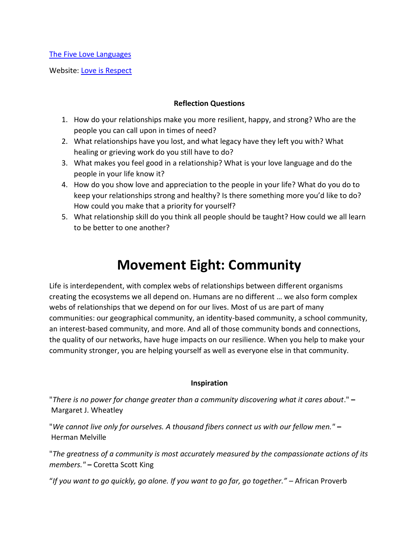[The Five Love Languages](https://www.5lovelanguages.com/learn)

Website: [Love is Respect](https://www.loveisrespect.org/healthy-relationships/)

### **Reflection Questions**

- 1. How do your relationships make you more resilient, happy, and strong? Who are the people you can call upon in times of need?
- 2. What relationships have you lost, and what legacy have they left you with? What healing or grieving work do you still have to do?
- 3. What makes you feel good in a relationship? What is your love language and do the people in your life know it?
- 4. How do you show love and appreciation to the people in your life? What do you do to keep your relationships strong and healthy? Is there something more you'd like to do? How could you make that a priority for yourself?
- 5. What relationship skill do you think all people should be taught? How could we all learn to be better to one another?

# **Movement Eight: Community**

Life is interdependent, with complex webs of relationships between different organisms creating the ecosystems we all depend on. Humans are no different … we also form complex webs of relationships that we depend on for our lives. Most of us are part of many communities: our geographical community, an identity-based community, a school community, an interest-based community, and more. And all of those community bonds and connections, the quality of our networks, have huge impacts on our resilience. When you help to make your community stronger, you are helping yourself as well as everyone else in that community.

#### **Inspiration**

"*There is no power for change greater than a community discovering what it cares about*." **–** Margaret J. Wheatley

"*We cannot live only for ourselves. A thousand fibers connect us with our fellow men."* **–** Herman Melville

"*The greatness of a community is most accurately measured by the compassionate actions of its members."* **–** Coretta Scott King

"*If you want to go quickly, go alone. If you want to go far, go together."* – African Proverb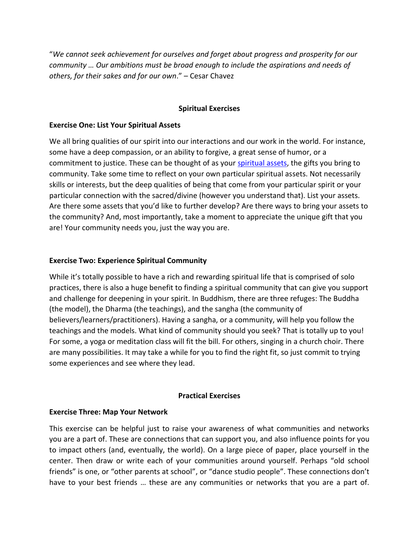"*We cannot seek achievement for ourselves and forget about progress and prosperity for our community … Our ambitions must be broad enough to include the aspirations and needs of others, for their sakes and for our own*." – Cesar Chavez

### **Spiritual Exercises**

#### **Exercise One: List Your Spiritual Assets**

We all bring qualities of our spirit into our interactions and our work in the world. For instance, some have a deep compassion, or an ability to forgive, a great sense of humor, or a commitment to justice. These can be thought of as your [spiritual assets,](https://ctb.ku.edu/en/table-of-contents/spirituality-and-community-building/overview-some-spiritual-assets/main) the gifts you bring to community. Take some time to reflect on your own particular spiritual assets. Not necessarily skills or interests, but the deep qualities of being that come from your particular spirit or your particular connection with the sacred/divine (however you understand that). List your assets. Are there some assets that you'd like to further develop? Are there ways to bring your assets to the community? And, most importantly, take a moment to appreciate the unique gift that you are! Your community needs you, just the way you are.

### **Exercise Two: Experience Spiritual Community**

While it's totally possible to have a rich and rewarding spiritual life that is comprised of solo practices, there is also a huge benefit to finding a spiritual community that can give you support and challenge for deepening in your spirit. In Buddhism, there are three refuges: The Buddha (the model), the Dharma (the teachings), and the sangha (the community of believers/learners/practitioners). Having a sangha, or a community, will help you follow the teachings and the models. What kind of community should you seek? That is totally up to you! For some, a yoga or meditation class will fit the bill. For others, singing in a church choir. There are many possibilities. It may take a while for you to find the right fit, so just commit to trying some experiences and see where they lead.

#### **Practical Exercises**

## **Exercise Three: Map Your Network**

This exercise can be helpful just to raise your awareness of what communities and networks you are a part of. These are connections that can support you, and also influence points for you to impact others (and, eventually, the world). On a large piece of paper, place yourself in the center. Then draw or write each of your communities around yourself. Perhaps "old school friends" is one, or "other parents at school", or "dance studio people". These connections don't have to your best friends … these are any communities or networks that you are a part of.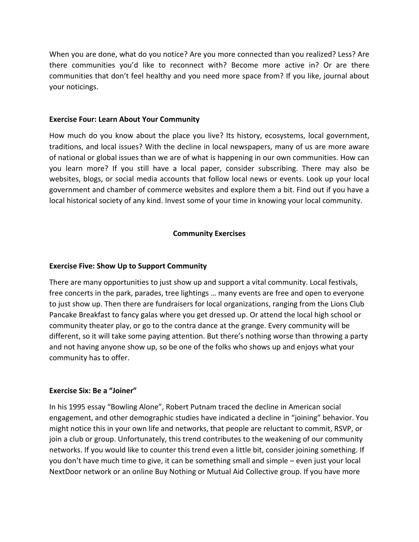When you are done, what do you notice? Are you more connected than you realized? Less? Are there communities you'd like to reconnect with? Become more active in? Or are there communities that don't feel healthy and you need more space from? If you like, journal about your noticings.

#### **Exercise Four: Learn About Your Community**

How much do you know about the place you live? Its history, ecosystems, local government, traditions, and local issues? With the decline in local newspapers, many of us are more aware of national or global issues than we are of what is happening in our own communities. How can you learn more? If you still have a local paper, consider subscribing. There may also be websites, blogs, or social media accounts that follow local news or events. Look up your local government and chamber of commerce websites and explore them a bit. Find out if you have a local historical society of any kind. Invest some of your time in knowing your local community.

#### **Community Exercises**

#### **Exercise Five: Show Up to Support Community**

There are many opportunities to just show up and support a vital community. Local festivals, free concerts in the park, parades, tree lightings … many events are free and open to everyone to just show up. Then there are fundraisers for local organizations, ranging from the Lions Club Pancake Breakfast to fancy galas where you get dressed up. Or attend the local high school or community theater play, or go to the contra dance at the grange. Every community will be different, so it will take some paying attention. But there's nothing worse than throwing a party and not having anyone show up, so be one of the folks who shows up and enjoys what your community has to offer.

#### **Exercise Six: Be a "Joiner"**

In his 1995 essay "Bowling Alone", Robert Putnam traced the decline in American social engagement, and other demographic studies have indicated a decline in "joining" behavior. You might notice this in your own life and networks, that people are reluctant to commit, RSVP, or join a club or group. Unfortunately, this trend contributes to the weakening of our community networks. If you would like to counter this trend even a little bit, consider joining something. If you don't have much time to give, it can be something small and simple – even just your local NextDoor network or an online Buy Nothing or Mutual Aid Collective group. If you have more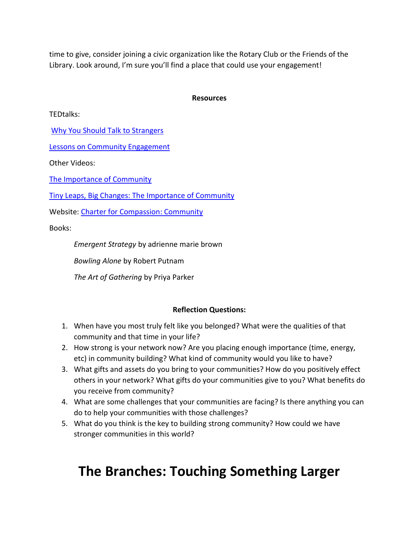time to give, consider joining a civic organization like the Rotary Club or the Friends of the Library. Look around, I'm sure you'll find a place that could use your engagement!

### **Resources**

TEDtalks:

[Why You Should Talk to Strangers](https://www.ted.com/talks/kio_stark_why_you_should_talk_to_strangers?referrer=playlist-the_paradox_of_loneliness)

[Lessons on Community Engagement](https://youtu.be/PQooUzvHEZc)

Other Videos:

[The Importance of Community](https://youtu.be/o_HmRajg50U)

[Tiny Leaps, Big Changes: The Importance of Community](https://youtu.be/vQUjDOgYLnA)

Website: [Charter for Compassion: Community](https://charterforcompassion.org/communities)

Books:

*Emergent Strategy* by adrienne marie brown

*Bowling Alone* by Robert Putnam

*The Art of Gathering* by Priya Parker

#### **Reflection Questions:**

- 1. When have you most truly felt like you belonged? What were the qualities of that community and that time in your life?
- 2. How strong is your network now? Are you placing enough importance (time, energy, etc) in community building? What kind of community would you like to have?
- 3. What gifts and assets do you bring to your communities? How do you positively effect others in your network? What gifts do your communities give to you? What benefits do you receive from community?
- 4. What are some challenges that your communities are facing? Is there anything you can do to help your communities with those challenges?
- 5. What do you think is the key to building strong community? How could we have stronger communities in this world?

# **The Branches: Touching Something Larger**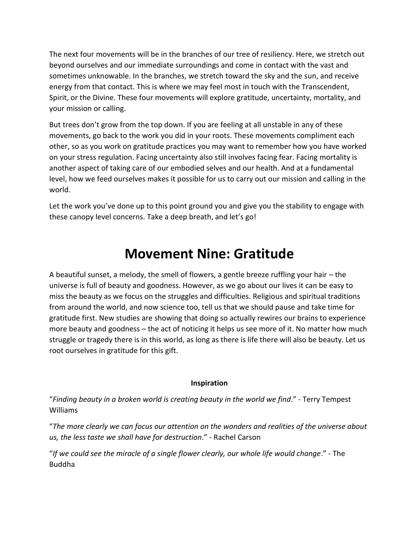The next four movements will be in the branches of our tree of resiliency. Here, we stretch out beyond ourselves and our immediate surroundings and come in contact with the vast and sometimes unknowable. In the branches, we stretch toward the sky and the sun, and receive energy from that contact. This is where we may feel most in touch with the Transcendent, Spirit, or the Divine. These four movements will explore gratitude, uncertainty, mortality, and your mission or calling.

But trees don't grow from the top down. If you are feeling at all unstable in any of these movements, go back to the work you did in your roots. These movements compliment each other, so as you work on gratitude practices you may want to remember how you have worked on your stress regulation. Facing uncertainty also still involves facing fear. Facing mortality is another aspect of taking care of our embodied selves and our health. And at a fundamental level, how we feed ourselves makes it possible for us to carry out our mission and calling in the world.

Let the work you've done up to this point ground you and give you the stability to engage with these canopy level concerns. Take a deep breath, and let's go!

# **Movement Nine: Gratitude**

A beautiful sunset, a melody, the smell of flowers, a gentle breeze ruffling your hair – the universe is full of beauty and goodness. However, as we go about our lives it can be easy to miss the beauty as we focus on the struggles and difficulties. Religious and spiritual traditions from around the world, and now science too, tell us that we should pause and take time for gratitude first. New studies are showing that doing so actually rewires our brains to experience more beauty and goodness – the act of noticing it helps us see more of it. No matter how much struggle or tragedy there is in this world, as long as there is life there will also be beauty. Let us root ourselves in gratitude for this gift.

## **Inspiration**

"*Finding beauty in a broken world is creating beauty in the world we find*." - Terry Tempest Williams

"*The more clearly we can focus our attention on the wonders and realities of the universe about us, the less taste we shall have for destruction*." - Rachel Carson

"*If we could see the miracle of a single flower clearly, our whole life would change*." - The Buddha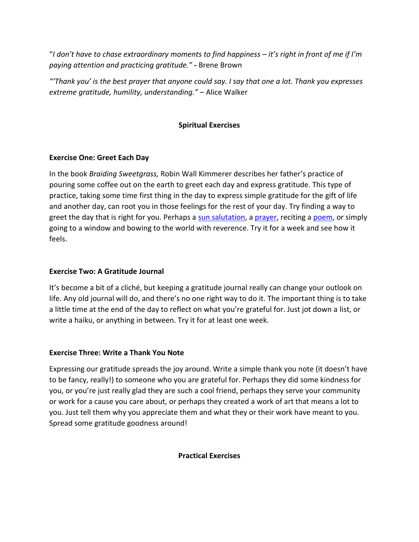"*I don't have to chase extraordinary moments to find happiness – it's right in front of me if I'm paying attention and practicing gratitude."* **-** Brene Brown

*"'Thank you' is the best prayer that anyone could say. I say that one a lot. Thank you expresses extreme gratitude, humility, understanding."* – Alice Walker

## **Spiritual Exercises**

## **Exercise One: Greet Each Day**

In the book *Braiding Sweetgrass,* Robin Wall Kimmerer describes her father's practice of pouring some coffee out on the earth to greet each day and express gratitude. This type of practice, taking some time first thing in the day to express simple gratitude for the gift of life and another day, can root you in those feelings for the rest of your day. Try finding a way to greet the day that is right for you. Perhaps a [sun salutation,](https://www.artofliving.org/us-en/yoga/sun-salutations) a [prayer,](https://www.christianity.com/wiki/prayer/why-pray-in-the-morning-prayers-to-begin-each-day.html) reciting a [poem,](https://www.loc.gov/programs/poetry-and-literature/poet-laureate/poet-laureate-projects/poetry-180/all-poems/item/poetry-180-133/the-summer-day/) or simply going to a window and bowing to the world with reverence. Try it for a week and see how it feels.

## **Exercise Two: A Gratitude Journal**

It's become a bit of a cliché, but keeping a gratitude journal really can change your outlook on life. Any old journal will do, and there's no one right way to do it. The important thing is to take a little time at the end of the day to reflect on what you're grateful for. Just jot down a list, or write a haiku, or anything in between. Try it for at least one week.

## **Exercise Three: Write a Thank You Note**

Expressing our gratitude spreads the joy around. Write a simple thank you note (it doesn't have to be fancy, really!) to someone who you are grateful for. Perhaps they did some kindness for you, or you're just really glad they are such a cool friend, perhaps they serve your community or work for a cause you care about, or perhaps they created a work of art that means a lot to you. Just tell them why you appreciate them and what they or their work have meant to you. Spread some gratitude goodness around!

## **Practical Exercises**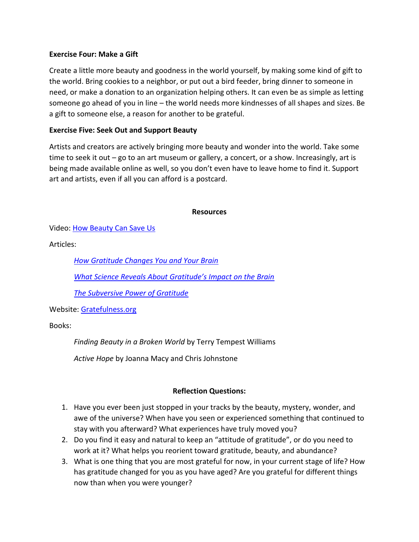### **Exercise Four: Make a Gift**

Create a little more beauty and goodness in the world yourself, by making some kind of gift to the world. Bring cookies to a neighbor, or put out a bird feeder, bring dinner to someone in need, or make a donation to an organization helping others. It can even be as simple as letting someone go ahead of you in line – the world needs more kindnesses of all shapes and sizes. Be a gift to someone else, a reason for another to be grateful.

### **Exercise Five: Seek Out and Support Beauty**

Artists and creators are actively bringing more beauty and wonder into the world. Take some time to seek it out – go to an art museum or gallery, a concert, or a show. Increasingly, art is being made available online as well, so you don't even have to leave home to find it. Support art and artists, even if all you can afford is a postcard.

#### **Resources**

Video: [How Beauty Can Save Us](https://youtu.be/2W6wJniitTU)

Articles:

*[How Gratitude Changes You and Your Brain](https://greatergood.berkeley.edu/article/item/how_gratitude_changes_you_and_your_brain)*

*[What Science Reveals About Gratitude's Impact on the Brain](https://www.mindful.org/what-the-brain-reveals-about-gratitude/?fbclid=IwAR2uayO9HzHtZkQF1weavHoyGp7gcTtBVv2pLmPCqH9ayImUv0yOo6UrYcw)*

*[The Subversive Power of Gratitude](https://humanparts.medium.com/the-subversive-power-of-gratitude-8a3435ef49e2)*

Website: [Gratefulness.org](https://gratefulness.org/)

Books:

*Finding Beauty in a Broken World* by Terry Tempest Williams

*Active Hope* by Joanna Macy and Chris Johnstone

## **Reflection Questions:**

- 1. Have you ever been just stopped in your tracks by the beauty, mystery, wonder, and awe of the universe? When have you seen or experienced something that continued to stay with you afterward? What experiences have truly moved you?
- 2. Do you find it easy and natural to keep an "attitude of gratitude", or do you need to work at it? What helps you reorient toward gratitude, beauty, and abundance?
- 3. What is one thing that you are most grateful for now, in your current stage of life? How has gratitude changed for you as you have aged? Are you grateful for different things now than when you were younger?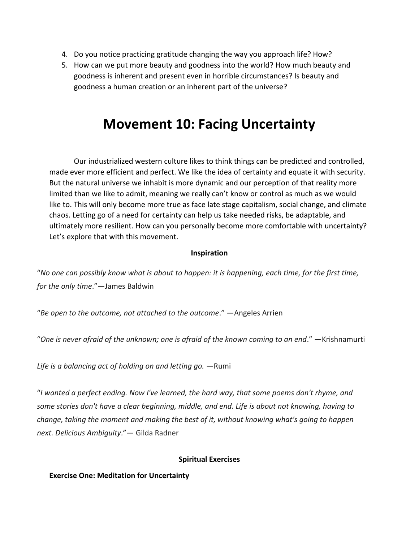- 4. Do you notice practicing gratitude changing the way you approach life? How?
- 5. How can we put more beauty and goodness into the world? How much beauty and goodness is inherent and present even in horrible circumstances? Is beauty and goodness a human creation or an inherent part of the universe?

# **Movement 10: Facing Uncertainty**

Our industrialized western culture likes to think things can be predicted and controlled, made ever more efficient and perfect. We like the idea of certainty and equate it with security. But the natural universe we inhabit is more dynamic and our perception of that reality more limited than we like to admit, meaning we really can't know or control as much as we would like to. This will only become more true as face late stage capitalism, social change, and climate chaos. Letting go of a need for certainty can help us take needed risks, be adaptable, and ultimately more resilient. How can you personally become more comfortable with uncertainty? Let's explore that with this movement.

#### **Inspiration**

"No one can possibly know what is about to happen: it is happening, each time, for the first time, *for the only time*."―James Baldwin

"*Be open to the outcome, not attached to the outcome*." —Angeles Arrien

"*One is never afraid of the unknown; one is afraid of the known coming to an end*." —Krishnamurti

*Life is a balancing act of holding on and letting go.* —Rumi

"*I wanted a perfect ending. Now I've learned, the hard way, that some poems don't rhyme, and some stories don't have a clear beginning, middle, and end. Life is about not knowing, having to change, taking the moment and making the best of it, without knowing what's going to happen next. Delicious Ambiguity*."― Gilda Radner

#### **Spiritual Exercises**

#### **Exercise One: Meditation for Uncertainty**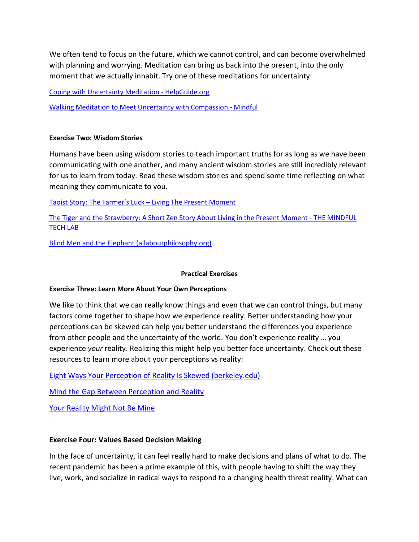We often tend to focus on the future, which we cannot control, and can become overwhelmed with planning and worrying. Meditation can bring us back into the present, into the only moment that we actually inhabit. Try one of these meditations for uncertainty:

[Coping with Uncertainty Meditation -](https://www.helpguide.org/meditations/coping-with-uncertainty-meditation.htm) HelpGuide.org

[Walking Meditation to Meet Uncertainty with Compassion -](https://www.mindful.org/a-guided-walking-meditation-to-meet-uncertainty-with-compassion/) Mindful

#### **Exercise Two: Wisdom Stories**

Humans have been using wisdom stories to teach important truths for as long as we have been communicating with one another, and many ancient wisdom stories are still incredibly relevant for us to learn from today. Read these wisdom stories and spend some time reflecting on what meaning they communicate to you.

[Taoist Story: The Farmer's Luck –](https://livingthepresentmoment.com/taoist-story-farmers-luck/) Living The Present Moment

[The Tiger and the Strawberry: A Short Zen Story About Living in the Present Moment -](http://www.themindfultechlab.com/blog/the-tiger-and-the-strawberry-a-short-zen-story-about-living-in-the-present-moment) THE MINDFUL [TECH LAB](http://www.themindfultechlab.com/blog/the-tiger-and-the-strawberry-a-short-zen-story-about-living-in-the-present-moment)

[Blind Men and the Elephant \(allaboutphilosophy.org\)](https://www.allaboutphilosophy.org/blind-men-and-the-elephant.htm)

#### **Practical Exercises**

#### **Exercise Three: Learn More About Your Own Perceptions**

We like to think that we can really know things and even that we can control things, but many factors come together to shape how we experience reality. Better understanding how your perceptions can be skewed can help you better understand the differences you experience from other people and the uncertainty of the world. You don't experience reality … you experience *your* reality. Realizing this might help you better face uncertainty. Check out these resources to learn more about your perceptions vs reality:

[Eight Ways Your Perception of Reality Is Skewed \(berkeley.edu\)](https://greatergood.berkeley.edu/article/item/eight_reasons_to_distrust_your_own_perceptions)

[Mind the Gap Between Perception and Reality](https://youtu.be/8BL9uRJpTqY)

[Your Reality Might Not Be Mine](https://youtu.be/SYytiQmXNTc)

#### **Exercise Four: Values Based Decision Making**

In the face of uncertainty, it can feel really hard to make decisions and plans of what to do. The recent pandemic has been a prime example of this, with people having to shift the way they live, work, and socialize in radical ways to respond to a changing health threat reality. What can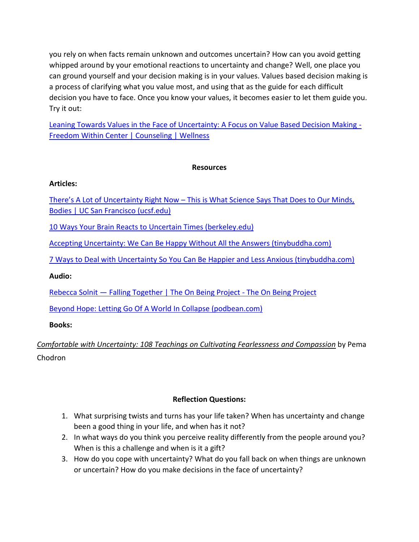you rely on when facts remain unknown and outcomes uncertain? How can you avoid getting whipped around by your emotional reactions to uncertainty and change? Well, one place you can ground yourself and your decision making is in your values. Values based decision making is a process of clarifying what you value most, and using that as the guide for each difficult decision you have to face. Once you know your values, it becomes easier to let them guide you. Try it out:

[Leaning Towards Values in the Face of Uncertainty: A Focus on Value Based Decision Making -](https://freedomwithincenter.com/leaning-towards-values-in-the-face-of-uncertainty-a-focus-on-value-based-decision-making/) [Freedom Within Center | Counseling | Wellness](https://freedomwithincenter.com/leaning-towards-values-in-the-face-of-uncertainty-a-focus-on-value-based-decision-making/)

## **Resources**

## **Articles:**

There's A Lot of Uncertainty Right Now – [This is What Science Says That Does to Our Minds,](https://www.ucsf.edu/news/2020/11/418951/theres-lot-uncertainty-right-now-what-science-says-does-our-minds-bodies)  [Bodies | UC San Francisco \(ucsf.edu\)](https://www.ucsf.edu/news/2020/11/418951/theres-lot-uncertainty-right-now-what-science-says-does-our-minds-bodies)

[10 Ways Your Brain Reacts to Uncertain Times \(berkeley.edu\)](https://greatergood.berkeley.edu/article/item/10_ways_your_brain_reacts_to_uncertain_times)

[Accepting Uncertainty: We Can Be Happy Without All the Answers \(tinybuddha.com\)](https://tinybuddha.com/blog/accepting-uncertainty-can-happy-without-answers/)

[7 Ways to Deal with Uncertainty So You Can Be Happier and Less Anxious \(tinybuddha.com\)](https://tinybuddha.com/blog/7-ways-to-deal-with-uncertainty/)

## **Audio:**

Rebecca Solnit — [Falling Together | The On Being Project -](https://onbeing.org/programs/rebecca-solnit-falling-together/) The On Being Project

[Beyond Hope: Letting Go Of A World In Collapse \(podbean.com\)](https://drumbaker.podbean.com/e/beyond-hope-letting-go-of-a-world-in-collapse/)

## **Books:**

*[Comfortable](https://smile.amazon.com/Comfortable-Uncertainty-Cultivating-Fearlessness-Compassion/dp/1611805953/ref=sr_1_1?s=books&ie=UTF8&qid=1540329617&sr=1-1&keywords=pema+chodron+uncertainty) with Uncertainty: 108 Teachings on Cultivating Fearlessness and Compassion* by Pema Chodron

## **Reflection Questions:**

- 1. What surprising twists and turns has your life taken? When has uncertainty and change been a good thing in your life, and when has it not?
- 2. In what ways do you think you perceive reality differently from the people around you? When is this a challenge and when is it a gift?
- 3. How do you cope with uncertainty? What do you fall back on when things are unknown or uncertain? How do you make decisions in the face of uncertainty?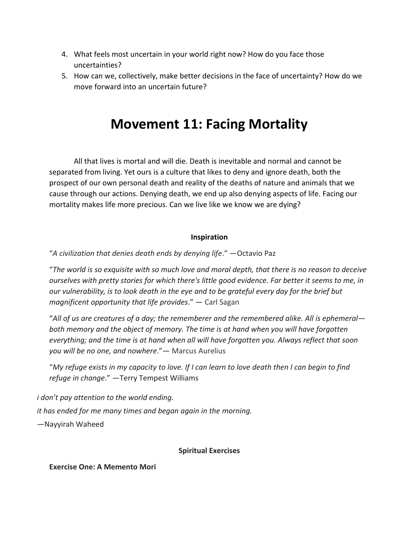- 4. What feels most uncertain in your world right now? How do you face those uncertainties?
- 5. How can we, collectively, make better decisions in the face of uncertainty? How do we move forward into an uncertain future?

# **Movement 11: Facing Mortality**

All that lives is mortal and will die. Death is inevitable and normal and cannot be separated from living. Yet ours is a culture that likes to deny and ignore death, both the prospect of our own personal death and reality of the deaths of nature and animals that we cause through our actions. Denying death, we end up also denying aspects of life. Facing our mortality makes life more precious. Can we live like we know we are dying?

## **Inspiration**

"*A civilization that denies death ends by denying life*." —Octavio Paz

"*The world is so exquisite with so much love and moral depth, that there is no reason to deceive ourselves with pretty stories for which there's little good evidence. Far better it seems to me, in our vulnerability, is to look death in the eye and to be grateful every day for the brief but magnificent opportunity that life provides*." ― Carl Sagan

"*All of us are creatures of a day; the rememberer and the remembered alike. All is ephemeral both memory and the object of memory. The time is at hand when you will have forgotten everything; and the time is at hand when all will have forgotten you. Always reflect that soon you will be no one, and nowhere*."― Marcus Aurelius

"*My refuge exists in my capacity to love. If I can learn to love death then I can begin to find refuge in change*." —Terry Tempest Williams

*i don't pay attention to the world ending.*

*it has ended for me many times and began again in the morning.*

—Nayyirah Waheed

#### **Spiritual Exercises**

**Exercise One: A Memento Mori**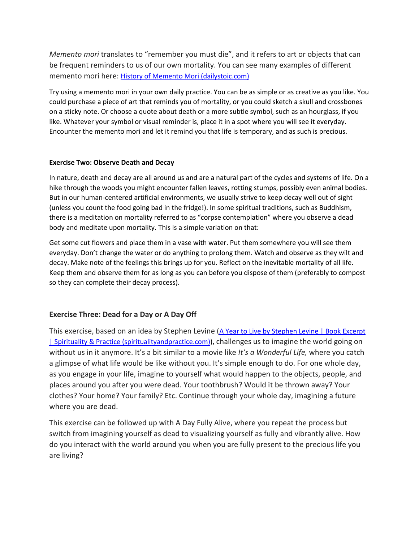*Memento mori* translates to "remember you must die", and it refers to art or objects that can be frequent reminders to us of our own mortality. You can see many examples of different memento mori here: [History of Memento Mori \(dailystoic.com\)](https://dailystoic.com/history-of-memento-mori/)

Try using a memento mori in your own daily practice. You can be as simple or as creative as you like. You could purchase a piece of art that reminds you of mortality, or you could sketch a skull and crossbones on a sticky note. Or choose a quote about death or a more subtle symbol, such as an hourglass, if you like. Whatever your symbol or visual reminder is, place it in a spot where you will see it everyday. Encounter the memento mori and let it remind you that life is temporary, and as such is precious.

#### **Exercise Two: Observe Death and Decay**

In nature, death and decay are all around us and are a natural part of the cycles and systems of life. On a hike through the woods you might encounter fallen leaves, rotting stumps, possibly even animal bodies. But in our human-centered artificial environments, we usually strive to keep decay well out of sight (unless you count the food going bad in the fridge!). In some spiritual traditions, such as Buddhism, there is a meditation on mortality referred to as "corpse contemplation" where you observe a dead body and meditate upon mortality. This is a simple variation on that:

Get some cut flowers and place them in a vase with water. Put them somewhere you will see them everyday. Don't change the water or do anything to prolong them. Watch and observe as they wilt and decay. Make note of the feelings this brings up for you. Reflect on the inevitable mortality of all life. Keep them and observe them for as long as you can before you dispose of them (preferably to compost so they can complete their decay process).

#### **Exercise Three: Dead for a Day or A Day Off**

This exercise, based on an idea by Stephen Levine (A Year to Live by Stephen Levine | Book Excerpt [| Spirituality & Practice \(spiritualityandpractice.com\)\)](https://www.spiritualityandpractice.com/books/reviews/excerpts/view/13330), challenges us to imagine the world going on without us in it anymore. It's a bit similar to a movie like *It's a Wonderful Life,* where you catch a glimpse of what life would be like without you. It's simple enough to do. For one whole day, as you engage in your life, imagine to yourself what would happen to the objects, people, and places around you after you were dead. Your toothbrush? Would it be thrown away? Your clothes? Your home? Your family? Etc. Continue through your whole day, imagining a future where you are dead.

This exercise can be followed up with A Day Fully Alive, where you repeat the process but switch from imagining yourself as dead to visualizing yourself as fully and vibrantly alive. How do you interact with the world around you when you are fully present to the precious life you are living?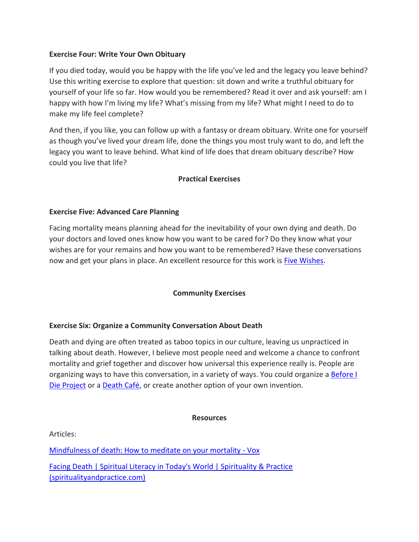### **Exercise Four: Write Your Own Obituary**

If you died today, would you be happy with the life you've led and the legacy you leave behind? Use this writing exercise to explore that question: sit down and write a truthful obituary for yourself of your life so far. How would you be remembered? Read it over and ask yourself: am I happy with how I'm living my life? What's missing from my life? What might I need to do to make my life feel complete?

And then, if you like, you can follow up with a fantasy or dream obituary. Write one for yourself as though you've lived your dream life, done the things you most truly want to do, and left the legacy you want to leave behind. What kind of life does that dream obituary describe? How could you live that life?

## **Practical Exercises**

### **Exercise Five: Advanced Care Planning**

Facing mortality means planning ahead for the inevitability of your own dying and death. Do your doctors and loved ones know how you want to be cared for? Do they know what your wishes are for your remains and how you want to be remembered? Have these conversations now and get your plans in place. An excellent resource for this work is [Five Wishes.](https://fivewishes.org/)

## **Community Exercises**

## **Exercise Six: Organize a Community Conversation About Death**

Death and dying are often treated as taboo topics in our culture, leaving us unpracticed in talking about death. However, I believe most people need and welcome a chance to confront mortality and grief together and discover how universal this experience really is. People are organizing ways to have this conversation, in a variety of ways. You could organize [a Before I](https://beforeidieproject.com/)  [Die Project](https://beforeidieproject.com/) or a [Death Café,](https://deathcafe.com/) or create another option of your own invention.

#### **Resources**

Articles:

[Mindfulness of death: How to meditate on your mortality -](https://www.vox.com/21363483/mindfulness-of-death-mortality-meditation-nikki-mirghafori) Vox [Facing Death | Spiritual Literacy in Today's World | Spirituality & Practice](https://www.spiritualityandpractice.com/practices/literacy-world-features/view/15462/facing-death)  [\(spiritualityandpractice.com\)](https://www.spiritualityandpractice.com/practices/literacy-world-features/view/15462/facing-death)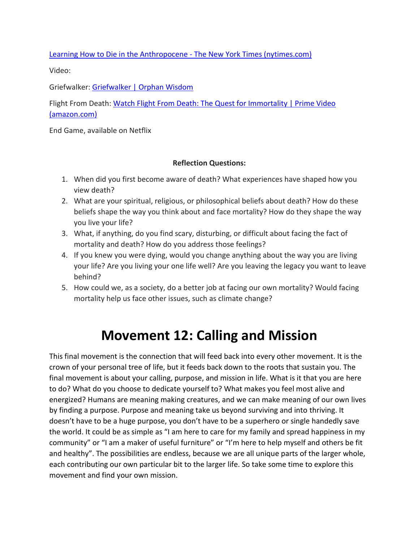[Learning How to Die in the Anthropocene -](https://opinionator.blogs.nytimes.com/2013/11/10/learning-how-to-die-in-the-anthropocene/) The New York Times (nytimes.com)

Video:

Griefwalker[: Griefwalker | Orphan Wisdom](https://orphanwisdom.com/griefwalker/)

Flight From Death: [Watch Flight From Death: The Quest for Immortality | Prime Video](https://www.amazon.com/Flight-Death-Immortality-Gabriel-Byrne/dp/B0036I14EO?web=1&wdLOR=cA515CB6E-17D3-4182-B61F-8553D5AA5D14)  [\(amazon.com\)](https://www.amazon.com/Flight-Death-Immortality-Gabriel-Byrne/dp/B0036I14EO?web=1&wdLOR=cA515CB6E-17D3-4182-B61F-8553D5AA5D14)

End Game, available on Netflix

### **Reflection Questions:**

- 1. When did you first become aware of death? What experiences have shaped how you view death?
- 2. What are your spiritual, religious, or philosophical beliefs about death? How do these beliefs shape the way you think about and face mortality? How do they shape the way you live your life?
- 3. What, if anything, do you find scary, disturbing, or difficult about facing the fact of mortality and death? How do you address those feelings?
- 4. If you knew you were dying, would you change anything about the way you are living your life? Are you living your one life well? Are you leaving the legacy you want to leave behind?
- 5. How could we, as a society, do a better job at facing our own mortality? Would facing mortality help us face other issues, such as climate change?

# **Movement 12: Calling and Mission**

This final movement is the connection that will feed back into every other movement. It is the crown of your personal tree of life, but it feeds back down to the roots that sustain you. The final movement is about your calling, purpose, and mission in life. What is it that you are here to do? What do you choose to dedicate yourself to? What makes you feel most alive and energized? Humans are meaning making creatures, and we can make meaning of our own lives by finding a purpose. Purpose and meaning take us beyond surviving and into thriving. It doesn't have to be a huge purpose, you don't have to be a superhero or single handedly save the world. It could be as simple as "I am here to care for my family and spread happiness in my community" or "I am a maker of useful furniture" or "I'm here to help myself and others be fit and healthy". The possibilities are endless, because we are all unique parts of the larger whole, each contributing our own particular bit to the larger life. So take some time to explore this movement and find your own mission.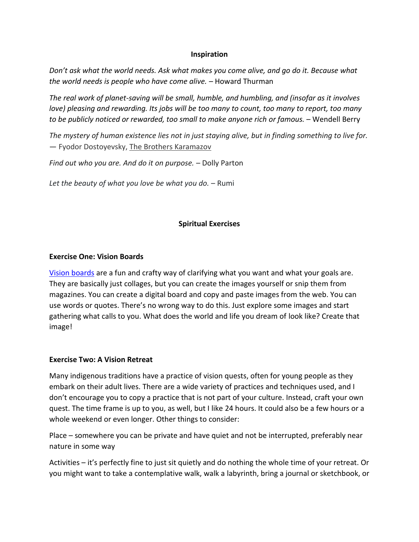#### **Inspiration**

*Don't ask what the world needs. Ask what makes you come alive, and go do it. Because what the world needs is people who have come alive.* – Howard Thurman

*The real work of planet-saving will be small, humble, and humbling, and (insofar as it involves love) pleasing and rewarding. Its jobs will be too many to count, too many to report, too many to be publicly noticed or rewarded, too small to make anyone rich or famous.* – Wendell Berry

*The mystery of human existence lies not in just staying alive, but in finding something to live for.*  ― Fyodor Dostoyevsky, [The Brothers Karamazov](https://www.goodreads.com/work/quotes/3393910)

*Find out who you are. And do it on purpose.* – Dolly Parton

*Let the beauty of what you love be what you do.* – Rumi

### **Spiritual Exercises**

#### **Exercise One: Vision Boards**

[Vision boards](https://www.mindbodygreen.com/articles/how-to-make-a-vision-board) are a fun and crafty way of clarifying what you want and what your goals are. They are basically just collages, but you can create the images yourself or snip them from magazines. You can create a digital board and copy and paste images from the web. You can use words or quotes. There's no wrong way to do this. Just explore some images and start gathering what calls to you. What does the world and life you dream of look like? Create that image!

#### **Exercise Two: A Vision Retreat**

Many indigenous traditions have a practice of vision quests, often for young people as they embark on their adult lives. There are a wide variety of practices and techniques used, and I don't encourage you to copy a practice that is not part of your culture. Instead, craft your own quest. The time frame is up to you, as well, but I like 24 hours. It could also be a few hours or a whole weekend or even longer. Other things to consider:

Place – somewhere you can be private and have quiet and not be interrupted, preferably near nature in some way

Activities – it's perfectly fine to just sit quietly and do nothing the whole time of your retreat. Or you might want to take a contemplative walk, walk a labyrinth, bring a journal or sketchbook, or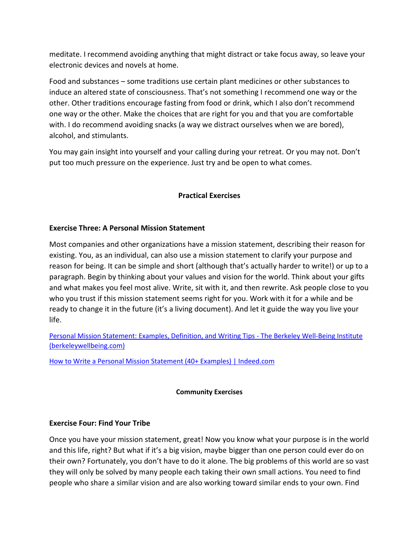meditate. I recommend avoiding anything that might distract or take focus away, so leave your electronic devices and novels at home.

Food and substances – some traditions use certain plant medicines or other substances to induce an altered state of consciousness. That's not something I recommend one way or the other. Other traditions encourage fasting from food or drink, which I also don't recommend one way or the other. Make the choices that are right for you and that you are comfortable with. I do recommend avoiding snacks (a way we distract ourselves when we are bored), alcohol, and stimulants.

You may gain insight into yourself and your calling during your retreat. Or you may not. Don't put too much pressure on the experience. Just try and be open to what comes.

## **Practical Exercises**

## **Exercise Three: A Personal Mission Statement**

Most companies and other organizations have a mission statement, describing their reason for existing. You, as an individual, can also use a mission statement to clarify your purpose and reason for being. It can be simple and short (although that's actually harder to write!) or up to a paragraph. Begin by thinking about your values and vision for the world. Think about your gifts and what makes you feel most alive. Write, sit with it, and then rewrite. Ask people close to you who you trust if this mission statement seems right for you. Work with it for a while and be ready to change it in the future (it's a living document). And let it guide the way you live your life.

Personal [Mission Statement: Examples, Definition, and Writing Tips -](https://www.berkeleywellbeing.com/personal-mission-statement.html) The Berkeley Well-Being Institute [\(berkeleywellbeing.com\)](https://www.berkeleywellbeing.com/personal-mission-statement.html)

[How to Write a Personal Mission Statement \(40+ Examples\) | Indeed.com](https://www.indeed.com/career-advice/career-development/personal-mission-statement-examples)

## **Community Exercises**

## **Exercise Four: Find Your Tribe**

Once you have your mission statement, great! Now you know what your purpose is in the world and this life, right? But what if it's a big vision, maybe bigger than one person could ever do on their own? Fortunately, you don't have to do it alone. The big problems of this world are so vast they will only be solved by many people each taking their own small actions. You need to find people who share a similar vision and are also working toward similar ends to your own. Find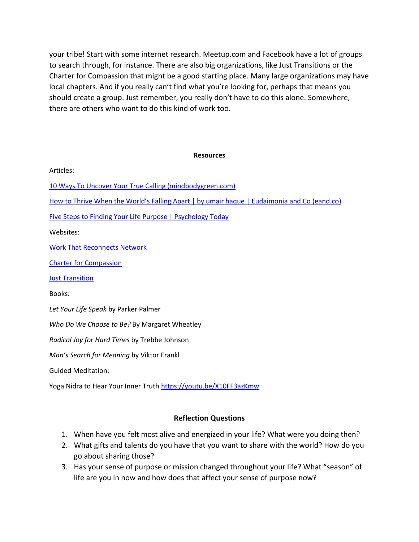your tribe! Start with some internet research. Meetup.com and Facebook have a lot of groups to search through, for instance. There are also big organizations, like Just Transitions or the Charter for Compassion that might be a good starting place. Many large organizations may have local chapters. And if you really can't find what you're looking for, perhaps that means you should create a group. Just remember, you really don't have to do this alone. Somewhere, there are others who want to do this kind of work too.

#### **Resources**

| Articles:                                                                                   |
|---------------------------------------------------------------------------------------------|
| 10 Ways To Uncover Your True Calling (mindbodygreen.com)                                    |
| How to Thrive When the World's Falling Apart   by umair haque   Eudaimonia and Co (eand.co) |
| <b>Five Steps to Finding Your Life Purpose   Psychology Today</b>                           |
| Websites:                                                                                   |
| <b>Work That Reconnects Network</b>                                                         |
| <b>Charter for Compassion</b>                                                               |
| <b>Just Transition</b>                                                                      |
| Books:                                                                                      |
| Let Your Life Speak by Parker Palmer                                                        |
| Who Do We Choose to Be? By Margaret Wheatley                                                |
| Radical Joy for Hard Times by Trebbe Johnson                                                |
| Man's Search for Meaning by Viktor Frankl                                                   |
| <b>Guided Meditation:</b>                                                                   |
| Yoga Nidra to Hear Your Inner Truth https://youtu.be/X10FF3azKmw                            |

#### **Reflection Questions**

- 1. When have you felt most alive and energized in your life? What were you doing then?
- 2. What gifts and talents do you have that you want to share with the world? How do you go about sharing those?
- 3. Has your sense of purpose or mission changed throughout your life? What "season" of life are you in now and how does that affect your sense of purpose now?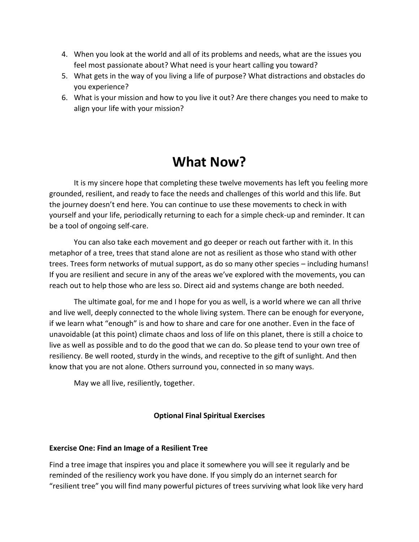- 4. When you look at the world and all of its problems and needs, what are the issues you feel most passionate about? What need is your heart calling you toward?
- 5. What gets in the way of you living a life of purpose? What distractions and obstacles do you experience?
- 6. What is your mission and how to you live it out? Are there changes you need to make to align your life with your mission?

# **What Now?**

It is my sincere hope that completing these twelve movements has left you feeling more grounded, resilient, and ready to face the needs and challenges of this world and this life. But the journey doesn't end here. You can continue to use these movements to check in with yourself and your life, periodically returning to each for a simple check-up and reminder. It can be a tool of ongoing self-care.

You can also take each movement and go deeper or reach out farther with it. In this metaphor of a tree, trees that stand alone are not as resilient as those who stand with other trees. Trees form networks of mutual support, as do so many other species – including humans! If you are resilient and secure in any of the areas we've explored with the movements, you can reach out to help those who are less so. Direct aid and systems change are both needed.

The ultimate goal, for me and I hope for you as well, is a world where we can all thrive and live well, deeply connected to the whole living system. There can be enough for everyone, if we learn what "enough" is and how to share and care for one another. Even in the face of unavoidable (at this point) climate chaos and loss of life on this planet, there is still a choice to live as well as possible and to do the good that we can do. So please tend to your own tree of resiliency. Be well rooted, sturdy in the winds, and receptive to the gift of sunlight. And then know that you are not alone. Others surround you, connected in so many ways.

May we all live, resiliently, together.

## **Optional Final Spiritual Exercises**

## **Exercise One: Find an Image of a Resilient Tree**

Find a tree image that inspires you and place it somewhere you will see it regularly and be reminded of the resiliency work you have done. If you simply do an internet search for "resilient tree" you will find many powerful pictures of trees surviving what look like very hard